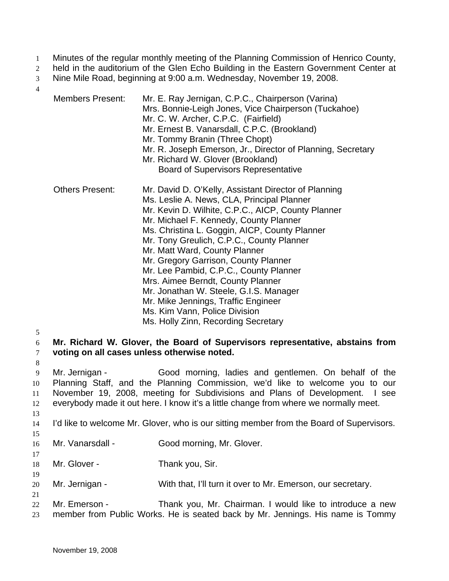- Minutes of the regular monthly meeting of the Planning Commission of Henrico County, 1
- held in the auditorium of the Glen Echo Building in the Eastern Government Center at 2
- Nine Mile Road, beginning at 9:00 a.m. Wednesday, November 19, 2008. 3

4

15

17

19

21

| <b>Members Present:</b> | Mr. E. Ray Jernigan, C.P.C., Chairperson (Varina)<br>Mrs. Bonnie-Leigh Jones, Vice Chairperson (Tuckahoe)                    |
|-------------------------|------------------------------------------------------------------------------------------------------------------------------|
|                         | Mr. C. W. Archer, C.P.C. (Fairfield)<br>Mr. Ernest B. Vanarsdall, C.P.C. (Brookland)                                         |
|                         | Mr. Tommy Branin (Three Chopt)                                                                                               |
|                         | Mr. R. Joseph Emerson, Jr., Director of Planning, Secretary<br>Mr. Richard W. Glover (Brookland)                             |
|                         | <b>Board of Supervisors Representative</b>                                                                                   |
| <b>Others Present:</b>  | Mr. David D. O'Kelly, Assistant Director of Planning                                                                         |
|                         | Ms. Leslie A. News, CLA, Principal Planner                                                                                   |
|                         | Mr. Kevin D. Wilhite, C.P.C., AICP, County Planner                                                                           |
|                         | Mr. Michael F. Kennedy, County Planner                                                                                       |
|                         | Ms. Christina L. Goggin, AICP, County Planner                                                                                |
|                         | Mr. Tony Greulich, C.P.C., County Planner                                                                                    |
|                         | Mr. Matt Ward, County Planner                                                                                                |
|                         | Mr. Gregory Garrison, County Planner<br>Mr. Lee Pambid, C.P.C., County Planner                                               |
|                         | Mrs. Aimee Berndt, County Planner                                                                                            |
|                         | Mr. Jonathan W. Steele, G.I.S. Manager                                                                                       |
|                         | Mr. Mike Jennings, Traffic Engineer                                                                                          |
|                         | Ms. Kim Vann, Police Division                                                                                                |
|                         | Ms. Holly Zinn, Recording Secretary                                                                                          |
|                         | Mr. Richard W. Glover, the Board of Supervisors representative, abstains from<br>voting on all cases unless otherwise noted. |
| Mr. Jernigan -          | Good morning, ladies and gentlemen. On behalf of the                                                                         |

9 10 11 12 13 Mr. Jernigan - Good morning, ladies and gentlemen. On behalf of the Planning Staff, and the Planning Commission, we'd like to welcome you to our November 19, 2008, meeting for Subdivisions and Plans of Development. I see everybody made it out here. I know it's a little change from where we normally meet.

- 14 I'd like to welcome Mr. Glover, who is our sitting member from the Board of Supervisors.
- 16 Mr. Vanarsdall - Good morning, Mr. Glover.
- 18 Mr. Glover - Thank you, Sir.
- 20 Mr. Jernigan - With that, I'll turn it over to Mr. Emerson, our secretary.
- 22 23 Mr. Emerson - Thank you, Mr. Chairman. I would like to introduce a new member from Public Works. He is seated back by Mr. Jennings. His name is Tommy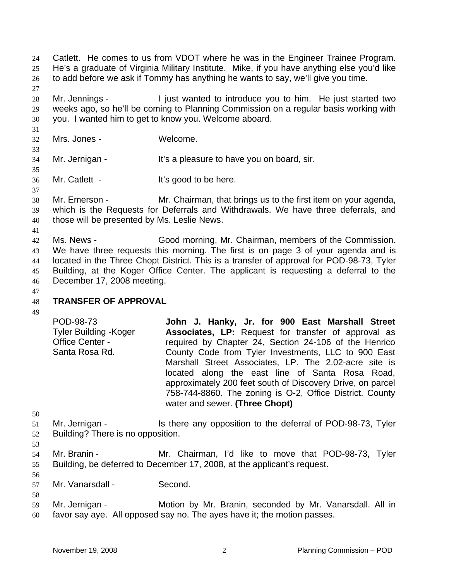Catlett. He comes to us from VDOT where he was in the Engineer Trainee Program. He's a graduate of Virginia Military Institute. Mike, if you have anything else you'd like to add before we ask if Tommy has anything he wants to say, we'll give you time. 24 25 26 27

28 29 30 Mr. Jennings - I just wanted to introduce you to him. He just started two weeks ago, so he'll be coming to Planning Commission on a regular basis working with you. I wanted him to get to know you. Welcome aboard.

31 32

33

35

37

Mrs. Jones - Welcome.

34 Mr. Jernigan - It's a pleasure to have you on board, sir.

36 Mr. Catlett - It's good to be here.

- 38 39 40 Mr. Emerson - Mr. Chairman, that brings us to the first item on your agenda, which is the Requests for Deferrals and Withdrawals. We have three deferrals, and those will be presented by Ms. Leslie News.
- 41 42 43 44 45 46 Ms. News - Good morning, Mr. Chairman, members of the Commission. We have three requests this morning. The first is on page 3 of your agenda and is located in the Three Chopt District. This is a transfer of approval for POD-98-73, Tyler Building, at the Koger Office Center. The applicant is requesting a deferral to the December 17, 2008 meeting.
- 47 48 49

# **TRANSFER OF APPROVAL**

POD-98-73 Tyler Building -Koger Office Center - Santa Rosa Rd. **John J. Hanky, Jr. for 900 East Marshall Street Associates, LP:** Request for transfer of approval as required by Chapter 24, Section 24-106 of the Henrico County Code from Tyler Investments, LLC to 900 East Marshall Street Associates, LP. The 2.02-acre site is located along the east line of Santa Rosa Road, approximately 200 feet south of Discovery Drive, on parcel 758-744-8860. The zoning is O-2, Office District. County water and sewer. **(Three Chopt)** 

- 50
- 51 52 Mr. Jernigan - Is there any opposition to the deferral of POD-98-73, Tyler Building? There is no opposition.
- 53

56

- 54 55 Mr. Branin - Mr. Chairman, I'd like to move that POD-98-73, Tyler Building, be deferred to December 17, 2008, at the applicant's request.
- 57 Mr. Vanarsdall - Second.
- 59 60 Mr. Jernigan - **Motion by Mr. Branin, seconded by Mr. Vanarsdall. All in** favor say aye. All opposed say no. The ayes have it; the motion passes.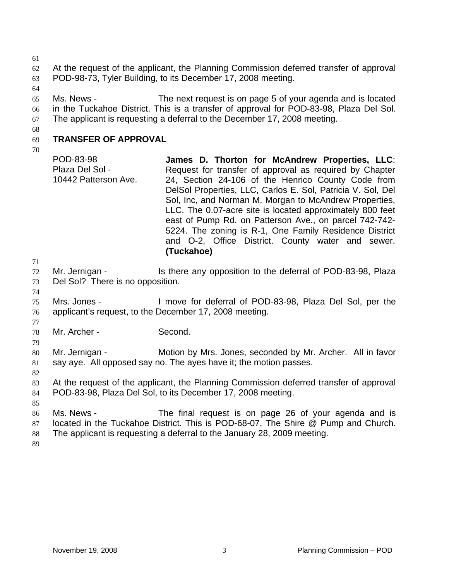61

62 63 At the request of the applicant, the Planning Commission deferred transfer of approval POD-98-73, Tyler Building, to its December 17, 2008 meeting.

64

65

66 67 Ms. News - The next request is on page 5 of your agenda and is located in the Tuckahoe District. This is a transfer of approval for POD-83-98, Plaza Del Sol. The applicant is requesting a deferral to the December 17, 2008 meeting.

68

#### 69 **TRANSFER OF APPROVAL**

70

POD-83-98 Plaza Del Sol - 10442 Patterson Ave. **James D. Thorton for McAndrew Properties, LLC**: Request for transfer of approval as required by Chapter 24, Section 24-106 of the Henrico County Code from DelSol Properties, LLC, Carlos E. Sol, Patricia V. Sol, Del Sol, Inc, and Norman M. Morgan to McAndrew Properties, LLC. The 0.07-acre site is located approximately 800 feet east of Pump Rd. on Patterson Ave., on parcel 742-742- 5224. The zoning is R-1, One Family Residence District and O-2, Office District. County water and sewer. **(Tuckahoe)**

72 73 Mr. Jernigan - The Is there any opposition to the deferral of POD-83-98, Plaza Del Sol? There is no opposition.

74

77

79

82

71

75 76 Mrs. Jones - I move for deferral of POD-83-98, Plaza Del Sol, per the applicant's request, to the December 17, 2008 meeting.

78 Mr. Archer - Second.

80 81 Mr. Jernigan - Motion by Mrs. Jones, seconded by Mr. Archer. All in favor say aye. All opposed say no. The ayes have it; the motion passes.

83 84 At the request of the applicant, the Planning Commission deferred transfer of approval POD-83-98, Plaza Del Sol, to its December 17, 2008 meeting.

85

86 87 88 Ms. News - The final request is on page 26 of your agenda and is located in the Tuckahoe District. This is POD-68-07, The Shire @ Pump and Church. The applicant is requesting a deferral to the January 28, 2009 meeting.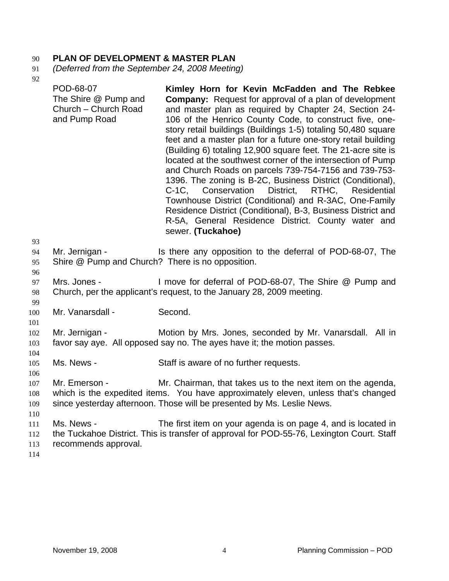# 90 **PLAN OF DEVELOPMENT & MASTER PLAN**

- 91 *(Deferred from the September 24, 2008 Meeting)*
- 92

| УZ<br>93                                                    | POD-68-07<br>The Shire @ Pump and<br>Church - Church Road<br>and Pump Road                                                      | Kimley Horn for Kevin McFadden and The Rebkee<br><b>Company:</b> Request for approval of a plan of development<br>and master plan as required by Chapter 24, Section 24-<br>106 of the Henrico County Code, to construct five, one-<br>story retail buildings (Buildings 1-5) totaling 50,480 square<br>feet and a master plan for a future one-story retail building<br>(Building 6) totaling 12,900 square feet. The 21-acre site is<br>located at the southwest corner of the intersection of Pump<br>and Church Roads on parcels 739-754-7156 and 739-753-<br>1396. The zoning is B-2C, Business District (Conditional),<br>C-1C, Conservation District,<br>RTHC, Residential<br>Townhouse District (Conditional) and R-3AC, One-Family<br>Residence District (Conditional), B-3, Business District and<br>R-5A, General Residence District. County water and<br>sewer. (Tuckahoe) |  |  |  |  |  |  |
|-------------------------------------------------------------|---------------------------------------------------------------------------------------------------------------------------------|----------------------------------------------------------------------------------------------------------------------------------------------------------------------------------------------------------------------------------------------------------------------------------------------------------------------------------------------------------------------------------------------------------------------------------------------------------------------------------------------------------------------------------------------------------------------------------------------------------------------------------------------------------------------------------------------------------------------------------------------------------------------------------------------------------------------------------------------------------------------------------------|--|--|--|--|--|--|
| 94<br>95<br>96                                              | Mr. Jernigan -<br>Is there any opposition to the deferral of POD-68-07, The<br>Shire @ Pump and Church? There is no opposition. |                                                                                                                                                                                                                                                                                                                                                                                                                                                                                                                                                                                                                                                                                                                                                                                                                                                                                        |  |  |  |  |  |  |
| 97<br>98<br>99                                              | Mrs. Jones -                                                                                                                    | I move for deferral of POD-68-07, The Shire @ Pump and<br>Church, per the applicant's request, to the January 28, 2009 meeting.                                                                                                                                                                                                                                                                                                                                                                                                                                                                                                                                                                                                                                                                                                                                                        |  |  |  |  |  |  |
| 100<br>101                                                  | Mr. Vanarsdall -                                                                                                                | Second.                                                                                                                                                                                                                                                                                                                                                                                                                                                                                                                                                                                                                                                                                                                                                                                                                                                                                |  |  |  |  |  |  |
| 102<br>103                                                  | Mr. Jernigan -                                                                                                                  | Motion by Mrs. Jones, seconded by Mr. Vanarsdall. All in<br>favor say aye. All opposed say no. The ayes have it; the motion passes.                                                                                                                                                                                                                                                                                                                                                                                                                                                                                                                                                                                                                                                                                                                                                    |  |  |  |  |  |  |
| 104<br>105                                                  | Ms. News -                                                                                                                      | Staff is aware of no further requests.                                                                                                                                                                                                                                                                                                                                                                                                                                                                                                                                                                                                                                                                                                                                                                                                                                                 |  |  |  |  |  |  |
| 106<br>107<br>108<br>109<br>110<br>111<br>112<br>113<br>114 | Mr. Emerson -<br>Ms. News -<br>recommends approval.                                                                             | Mr. Chairman, that takes us to the next item on the agenda,<br>which is the expedited items. You have approximately eleven, unless that's changed<br>since yesterday afternoon. Those will be presented by Ms. Leslie News.<br>The first item on your agenda is on page 4, and is located in<br>the Tuckahoe District. This is transfer of approval for POD-55-76, Lexington Court. Staff                                                                                                                                                                                                                                                                                                                                                                                                                                                                                              |  |  |  |  |  |  |
|                                                             |                                                                                                                                 |                                                                                                                                                                                                                                                                                                                                                                                                                                                                                                                                                                                                                                                                                                                                                                                                                                                                                        |  |  |  |  |  |  |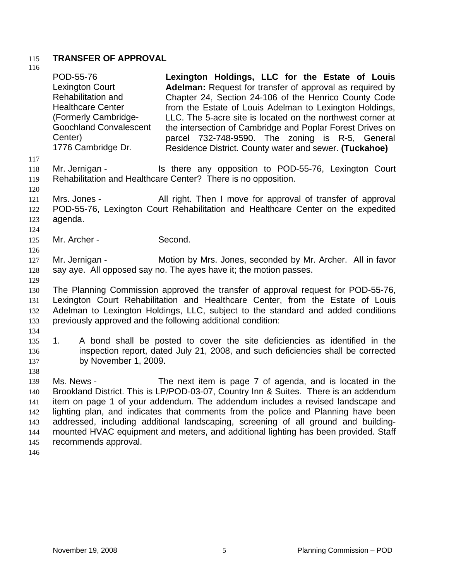### 115 **TRANSFER OF APPROVAL**  116

| 110                                                  | POD-55-76<br>Lexington Court<br>Rehabilitation and<br><b>Healthcare Center</b><br>(Formerly Cambridge-<br><b>Goochland Convalescent</b><br>Center)<br>1776 Cambridge Dr.                                                                                                                                              | Lexington Holdings, LLC for the Estate of Louis<br><b>Adelman:</b> Request for transfer of approval as required by<br>Chapter 24, Section 24-106 of the Henrico County Code<br>from the Estate of Louis Adelman to Lexington Holdings,<br>LLC. The 5-acre site is located on the northwest corner at<br>the intersection of Cambridge and Poplar Forest Drives on<br>parcel 732-748-9590. The zoning is R-5, General<br>Residence District. County water and sewer. (Tuckahoe)                       |  |  |  |  |  |  |  |  |  |
|------------------------------------------------------|-----------------------------------------------------------------------------------------------------------------------------------------------------------------------------------------------------------------------------------------------------------------------------------------------------------------------|------------------------------------------------------------------------------------------------------------------------------------------------------------------------------------------------------------------------------------------------------------------------------------------------------------------------------------------------------------------------------------------------------------------------------------------------------------------------------------------------------|--|--|--|--|--|--|--|--|--|
| 117<br>118<br>119                                    | Mr. Jernigan -                                                                                                                                                                                                                                                                                                        | Is there any opposition to POD-55-76, Lexington Court<br>Rehabilitation and Healthcare Center? There is no opposition.                                                                                                                                                                                                                                                                                                                                                                               |  |  |  |  |  |  |  |  |  |
| 120<br>121<br>122<br>123<br>124                      | All right. Then I move for approval of transfer of approval<br>Mrs. Jones -<br>POD-55-76, Lexington Court Rehabilitation and Healthcare Center on the expedited<br>agenda.                                                                                                                                            |                                                                                                                                                                                                                                                                                                                                                                                                                                                                                                      |  |  |  |  |  |  |  |  |  |
| 125<br>126                                           | Mr. Archer -                                                                                                                                                                                                                                                                                                          | Second.                                                                                                                                                                                                                                                                                                                                                                                                                                                                                              |  |  |  |  |  |  |  |  |  |
| 127<br>128                                           | Mr. Jernigan -                                                                                                                                                                                                                                                                                                        | Motion by Mrs. Jones, seconded by Mr. Archer. All in favor<br>say aye. All opposed say no. The ayes have it; the motion passes.                                                                                                                                                                                                                                                                                                                                                                      |  |  |  |  |  |  |  |  |  |
| 129<br>130<br>131<br>132<br>133                      | The Planning Commission approved the transfer of approval request for POD-55-76,<br>Lexington Court Rehabilitation and Healthcare Center, from the Estate of Louis<br>Adelman to Lexington Holdings, LLC, subject to the standard and added conditions<br>previously approved and the following additional condition: |                                                                                                                                                                                                                                                                                                                                                                                                                                                                                                      |  |  |  |  |  |  |  |  |  |
| 134<br>135<br>136<br>137<br>138                      | A bond shall be posted to cover the site deficiencies as identified in the<br>1.<br>inspection report, dated July 21, 2008, and such deficiencies shall be corrected<br>by November 1, 2009.                                                                                                                          |                                                                                                                                                                                                                                                                                                                                                                                                                                                                                                      |  |  |  |  |  |  |  |  |  |
| 139<br>140<br>141<br>142<br>143<br>144<br>145<br>146 | Ms. News -<br>recommends approval.                                                                                                                                                                                                                                                                                    | The next item is page 7 of agenda, and is located in the<br>Brookland District. This is LP/POD-03-07, Country Inn & Suites. There is an addendum<br>item on page 1 of your addendum. The addendum includes a revised landscape and<br>lighting plan, and indicates that comments from the police and Planning have been<br>addressed, including additional landscaping, screening of all ground and building-<br>mounted HVAC equipment and meters, and additional lighting has been provided. Staff |  |  |  |  |  |  |  |  |  |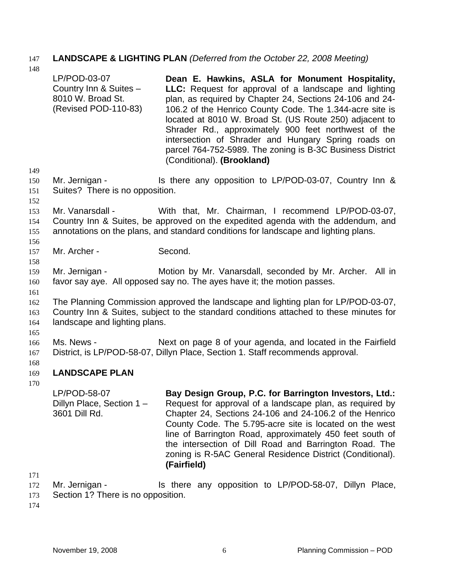# 147 **LANDSCAPE & LIGHTING PLAN** *(Deferred from the October 22, 2008 Meeting)*

140

| 148                      |                                                                                                                                                                                                               |                                                                                                                                                                                                                                                                                                                                                                                                                                                                                                       |  |  |  |  |  |  |  |
|--------------------------|---------------------------------------------------------------------------------------------------------------------------------------------------------------------------------------------------------------|-------------------------------------------------------------------------------------------------------------------------------------------------------------------------------------------------------------------------------------------------------------------------------------------------------------------------------------------------------------------------------------------------------------------------------------------------------------------------------------------------------|--|--|--|--|--|--|--|
|                          | LP/POD-03-07<br>Country Inn & Suites -<br>8010 W. Broad St.<br>(Revised POD-110-83)                                                                                                                           | Dean E. Hawkins, ASLA for Monument Hospitality,<br>LLC: Request for approval of a landscape and lighting<br>plan, as required by Chapter 24, Sections 24-106 and 24-<br>106.2 of the Henrico County Code. The 1.344-acre site is<br>located at 8010 W. Broad St. (US Route 250) adjacent to<br>Shrader Rd., approximately 900 feet northwest of the<br>intersection of Shrader and Hungary Spring roads on<br>parcel 764-752-5989. The zoning is B-3C Business District<br>(Conditional). (Brookland) |  |  |  |  |  |  |  |
| 149<br>150               | Mr. Jernigan -                                                                                                                                                                                                | Is there any opposition to LP/POD-03-07, Country Inn &                                                                                                                                                                                                                                                                                                                                                                                                                                                |  |  |  |  |  |  |  |
| 151<br>152               | Suites? There is no opposition.                                                                                                                                                                               |                                                                                                                                                                                                                                                                                                                                                                                                                                                                                                       |  |  |  |  |  |  |  |
| 153<br>154<br>155<br>156 | Mr. Vanarsdall -                                                                                                                                                                                              | With that, Mr. Chairman, I recommend LP/POD-03-07,<br>Country Inn & Suites, be approved on the expedited agenda with the addendum, and<br>annotations on the plans, and standard conditions for landscape and lighting plans.                                                                                                                                                                                                                                                                         |  |  |  |  |  |  |  |
| 157                      | Mr. Archer -                                                                                                                                                                                                  | Second.                                                                                                                                                                                                                                                                                                                                                                                                                                                                                               |  |  |  |  |  |  |  |
| 158<br>159               | Mr. Jernigan -                                                                                                                                                                                                | Motion by Mr. Vanarsdall, seconded by Mr. Archer. All in                                                                                                                                                                                                                                                                                                                                                                                                                                              |  |  |  |  |  |  |  |
| 160                      |                                                                                                                                                                                                               | favor say aye. All opposed say no. The ayes have it; the motion passes.                                                                                                                                                                                                                                                                                                                                                                                                                               |  |  |  |  |  |  |  |
| 161<br>162<br>163<br>164 | The Planning Commission approved the landscape and lighting plan for LP/POD-03-07,<br>Country Inn & Suites, subject to the standard conditions attached to these minutes for<br>landscape and lighting plans. |                                                                                                                                                                                                                                                                                                                                                                                                                                                                                                       |  |  |  |  |  |  |  |
| 165<br>166<br>167<br>168 | Ms. News -                                                                                                                                                                                                    | Next on page 8 of your agenda, and located in the Fairfield<br>District, is LP/POD-58-07, Dillyn Place, Section 1. Staff recommends approval.                                                                                                                                                                                                                                                                                                                                                         |  |  |  |  |  |  |  |
| 169                      | <b>LANDSCAPE PLAN</b>                                                                                                                                                                                         |                                                                                                                                                                                                                                                                                                                                                                                                                                                                                                       |  |  |  |  |  |  |  |
| 170                      | LP/POD-58-07<br>Dillyn Place, Section 1-<br>3601 Dill Rd.                                                                                                                                                     | Bay Design Group, P.C. for Barrington Investors, Ltd.:<br>Request for approval of a landscape plan, as required by<br>Chapter 24, Sections 24-106 and 24-106.2 of the Henrico<br>County Code. The 5.795-acre site is located on the west<br>line of Barrington Road, approximately 450 feet south of<br>the intersection of Dill Road and Barrington Road. The<br>zoning is R-5AC General Residence District (Conditional).<br>(Fairfield)                                                            |  |  |  |  |  |  |  |
| 171                      |                                                                                                                                                                                                               |                                                                                                                                                                                                                                                                                                                                                                                                                                                                                                       |  |  |  |  |  |  |  |
| 172                      | Mr. Jernigan -                                                                                                                                                                                                | Is there any opposition to LP/POD-58-07, Dillyn Place,                                                                                                                                                                                                                                                                                                                                                                                                                                                |  |  |  |  |  |  |  |

173 Section 1? There is no opposition.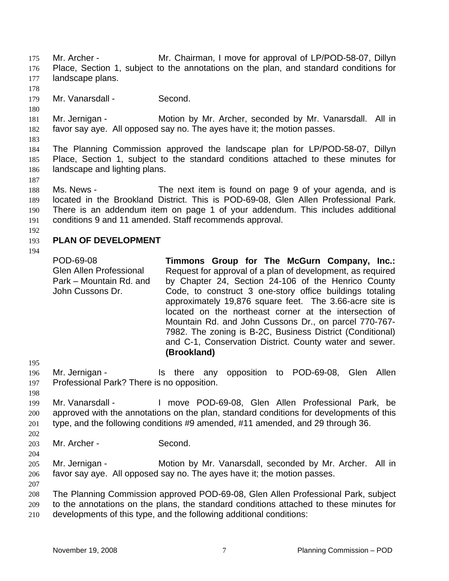Mr. Archer - Mr. Chairman, I move for approval of LP/POD-58-07, Dillyn Place, Section 1, subject to the annotations on the plan, and standard conditions for landscape plans. 175 176 177

178

180

179 Mr. Vanarsdall - Second.

181 182 Mr. Jernigan - Motion by Mr. Archer, seconded by Mr. Vanarsdall. All in favor say aye. All opposed say no. The ayes have it; the motion passes.

183

187

184 185 186 The Planning Commission approved the landscape plan for LP/POD-58-07, Dillyn Place, Section 1, subject to the standard conditions attached to these minutes for landscape and lighting plans.

188 189 190 191 Ms. News - The next item is found on page 9 of your agenda, and is located in the Brookland District. This is POD-69-08, Glen Allen Professional Park. There is an addendum item on page 1 of your addendum. This includes additional conditions 9 and 11 amended. Staff recommends approval.

192

#### 193 **PLAN OF DEVELOPMENT**

194

POD-69-08 Glen Allen Professional Park – Mountain Rd. and John Cussons Dr. **Timmons Group for The McGurn Company, Inc.:**  Request for approval of a plan of development, as required by Chapter 24, Section 24-106 of the Henrico County Code, to construct 3 one-story office buildings totaling approximately 19,876 square feet. The 3.66-acre site is located on the northeast corner at the intersection of Mountain Rd. and John Cussons Dr., on parcel 770-767- 7982. The zoning is B-2C, Business District (Conditional) and C-1, Conservation District. County water and sewer. **(Brookland)** 

196 197 Mr. Jernigan - The Is there any opposition to POD-69-08, Glen Allen Professional Park? There is no opposition.

198

202

204

207

195

199 200 201 Mr. Vanarsdall - The Move POD-69-08, Glen Allen Professional Park, be approved with the annotations on the plan, standard conditions for developments of this type, and the following conditions #9 amended, #11 amended, and 29 through 36.

203 Mr. Archer - Second.

205 206 Mr. Jernigan - Motion by Mr. Vanarsdall, seconded by Mr. Archer. All in favor say aye. All opposed say no. The ayes have it; the motion passes.

208 209 210 The Planning Commission approved POD-69-08, Glen Allen Professional Park, subject to the annotations on the plans, the standard conditions attached to these minutes for developments of this type, and the following additional conditions: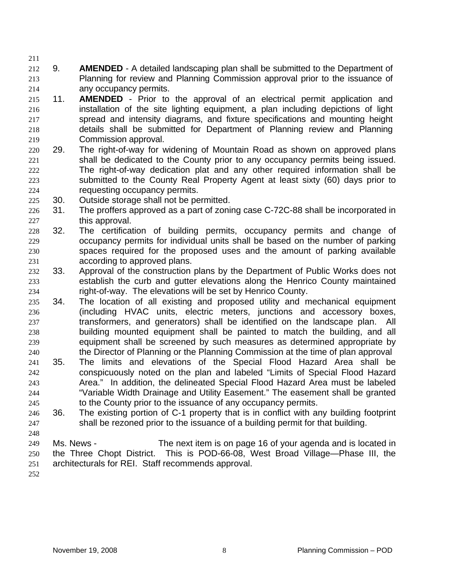211 212 213 214 9. **AMENDED** - A detailed landscaping plan shall be submitted to the Department of Planning for review and Planning Commission approval prior to the issuance of any occupancy permits.

- 215 216 217 218 219 11. **AMENDED** - Prior to the approval of an electrical permit application and installation of the site lighting equipment, a plan including depictions of light spread and intensity diagrams, and fixture specifications and mounting height details shall be submitted for Department of Planning review and Planning Commission approval.
- 220 221 222 223 224 29. The right-of-way for widening of Mountain Road as shown on approved plans shall be dedicated to the County prior to any occupancy permits being issued. The right-of-way dedication plat and any other required information shall be submitted to the County Real Property Agent at least sixty (60) days prior to requesting occupancy permits.
- 225 30. Outside storage shall not be permitted.
- 226 227 31. The proffers approved as a part of zoning case C-72C-88 shall be incorporated in this approval.
- 228 229 230 231 32. The certification of building permits, occupancy permits and change of occupancy permits for individual units shall be based on the number of parking spaces required for the proposed uses and the amount of parking available according to approved plans.
- 232 233 234 33. Approval of the construction plans by the Department of Public Works does not establish the curb and gutter elevations along the Henrico County maintained right-of-way. The elevations will be set by Henrico County.
- 235 236 237 238 239 240 34. The location of all existing and proposed utility and mechanical equipment (including HVAC units, electric meters, junctions and accessory boxes, transformers, and generators) shall be identified on the landscape plan. All building mounted equipment shall be painted to match the building, and all equipment shall be screened by such measures as determined appropriate by the Director of Planning or the Planning Commission at the time of plan approval
- 241 242 243 244 245 35. The limits and elevations of the Special Flood Hazard Area shall be conspicuously noted on the plan and labeled "Limits of Special Flood Hazard Area." In addition, the delineated Special Flood Hazard Area must be labeled "Variable Width Drainage and Utility Easement." The easement shall be granted to the County prior to the issuance of any occupancy permits.
- 246 247 36. The existing portion of C-1 property that is in conflict with any building footprint shall be rezoned prior to the issuance of a building permit for that building.
- 249 250 251 Ms. News - The next item is on page 16 of your agenda and is located in the Three Chopt District. This is POD-66-08, West Broad Village—Phase III, the architecturals for REI. Staff recommends approval.
- 252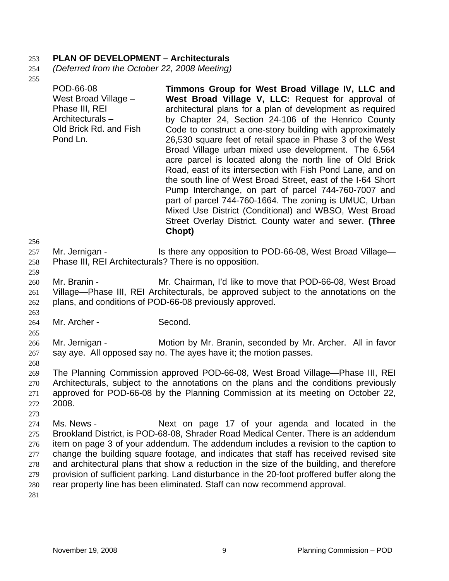### 253 **PLAN OF DEVELOPMENT – Architecturals**

- 254 *(Deferred from the October 22, 2008 Meeting)*
- 255

| 256        | West Broad Village -<br>Phase III, REI<br>Architecturals-<br>Old Brick Rd. and Fish<br>Pond Ln. | West Broad Village V, LLC: Request for approval of<br>architectural plans for a plan of development as required<br>by Chapter 24, Section 24-106 of the Henrico County<br>Code to construct a one-story building with approximately<br>26,530 square feet of retail space in Phase 3 of the West<br>Broad Village urban mixed use development. The 6.564<br>acre parcel is located along the north line of Old Brick<br>Road, east of its intersection with Fish Pond Lane, and on<br>the south line of West Broad Street, east of the I-64 Short<br>Pump Interchange, on part of parcel 744-760-7007 and<br>part of parcel 744-760-1664. The zoning is UMUC, Urban<br>Mixed Use District (Conditional) and WBSO, West Broad<br>Street Overlay District. County water and sewer. (Three<br>Chopt) |
|------------|-------------------------------------------------------------------------------------------------|---------------------------------------------------------------------------------------------------------------------------------------------------------------------------------------------------------------------------------------------------------------------------------------------------------------------------------------------------------------------------------------------------------------------------------------------------------------------------------------------------------------------------------------------------------------------------------------------------------------------------------------------------------------------------------------------------------------------------------------------------------------------------------------------------|
| 257<br>258 | Mr. Jernigan -<br>Phase III, REI Architecturals? There is no opposition.                        | Is there any opposition to POD-66-08, West Broad Village—                                                                                                                                                                                                                                                                                                                                                                                                                                                                                                                                                                                                                                                                                                                                         |

259

263

265

- 260 261 262 Mr. Branin - Mr. Chairman, I'd like to move that POD-66-08, West Broad Village—Phase III, REI Architecturals, be approved subject to the annotations on the plans, and conditions of POD-66-08 previously approved.
- 264 Mr. Archer - Second.
- 266 267 Mr. Jernigan - **Motion by Mr. Branin, seconded by Mr. Archer.** All in favor say aye. All opposed say no. The ayes have it; the motion passes.
- 268

273

269 270 271 272 The Planning Commission approved POD-66-08, West Broad Village—Phase III, REI Architecturals, subject to the annotations on the plans and the conditions previously approved for POD-66-08 by the Planning Commission at its meeting on October 22, 2008.

274 275 276 277 278 279 280 Ms. News - The Mext on page 17 of your agenda and located in the Brookland District, is POD-68-08, Shrader Road Medical Center. There is an addendum item on page 3 of your addendum. The addendum includes a revision to the caption to change the building square footage, and indicates that staff has received revised site and architectural plans that show a reduction in the size of the building, and therefore provision of sufficient parking. Land disturbance in the 20-foot proffered buffer along the rear property line has been eliminated. Staff can now recommend approval.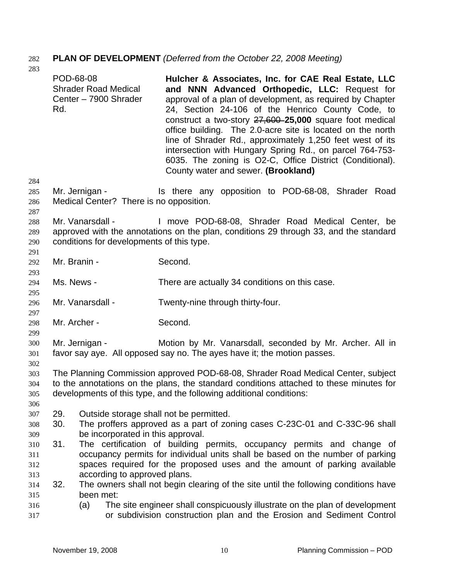# 282 **PLAN OF DEVELOPMENT** *(Deferred from the October 22, 2008 Meeting)*

| 283                             |                  |                                                               |                                                                                                                                                                                                                                                                                                                                                                                                                                                                                                                                                                             |
|---------------------------------|------------------|---------------------------------------------------------------|-----------------------------------------------------------------------------------------------------------------------------------------------------------------------------------------------------------------------------------------------------------------------------------------------------------------------------------------------------------------------------------------------------------------------------------------------------------------------------------------------------------------------------------------------------------------------------|
|                                 | POD-68-08<br>Rd. | <b>Shrader Road Medical</b><br>Center - 7900 Shrader          | Hulcher & Associates, Inc. for CAE Real Estate, LLC<br>and NNN Advanced Orthopedic, LLC: Request for<br>approval of a plan of development, as required by Chapter<br>24, Section 24-106 of the Henrico County Code, to<br>construct a two-story 27,600-25,000 square foot medical<br>office building. The 2.0-acre site is located on the north<br>line of Shrader Rd., approximately 1,250 feet west of its<br>intersection with Hungary Spring Rd., on parcel 764-753-<br>6035. The zoning is O2-C, Office District (Conditional).<br>County water and sewer. (Brookland) |
| 284<br>285<br>286               |                  | Mr. Jernigan -<br>Medical Center? There is no opposition.     | Is there any opposition to POD-68-08, Shrader Road                                                                                                                                                                                                                                                                                                                                                                                                                                                                                                                          |
| 287<br>288<br>289<br>290<br>291 |                  | Mr. Vanarsdall -<br>conditions for developments of this type. | I move POD-68-08, Shrader Road Medical Center, be<br>approved with the annotations on the plan, conditions 29 through 33, and the standard                                                                                                                                                                                                                                                                                                                                                                                                                                  |
| 292                             | Mr. Branin -     |                                                               | Second.                                                                                                                                                                                                                                                                                                                                                                                                                                                                                                                                                                     |
| 293<br>294<br>295               | Ms. News -       |                                                               | There are actually 34 conditions on this case.                                                                                                                                                                                                                                                                                                                                                                                                                                                                                                                              |
| 296<br>297                      |                  | Mr. Vanarsdall -                                              | Twenty-nine through thirty-four.                                                                                                                                                                                                                                                                                                                                                                                                                                                                                                                                            |
| 298                             | Mr. Archer -     |                                                               | Second.                                                                                                                                                                                                                                                                                                                                                                                                                                                                                                                                                                     |
| 299<br>300<br>301               |                  | Mr. Jernigan -                                                | Motion by Mr. Vanarsdall, seconded by Mr. Archer. All in<br>favor say aye. All opposed say no. The ayes have it; the motion passes.                                                                                                                                                                                                                                                                                                                                                                                                                                         |
| 302<br>303<br>304<br>305<br>306 |                  |                                                               | The Planning Commission approved POD-68-08, Shrader Road Medical Center, subject<br>to the annotations on the plans, the standard conditions attached to these minutes for<br>developments of this type, and the following additional conditions:                                                                                                                                                                                                                                                                                                                           |
| 307<br>308                      | 29.<br>30.       | Outside storage shall not be permitted.                       | The proffers approved as a part of zoning cases C-23C-01 and C-33C-96 shall                                                                                                                                                                                                                                                                                                                                                                                                                                                                                                 |
| 309<br>310<br>311               | 31.              | be incorporated in this approval.                             | The certification of building permits, occupancy permits and change of<br>occupancy permits for individual units shall be based on the number of parking                                                                                                                                                                                                                                                                                                                                                                                                                    |
| 312<br>313<br>314<br>315        | 32.              | according to approved plans.<br>been met:                     | spaces required for the proposed uses and the amount of parking available<br>The owners shall not begin clearing of the site until the following conditions have                                                                                                                                                                                                                                                                                                                                                                                                            |
| 316<br>317                      |                  | (a)                                                           | The site engineer shall conspicuously illustrate on the plan of development<br>or subdivision construction plan and the Erosion and Sediment Control                                                                                                                                                                                                                                                                                                                                                                                                                        |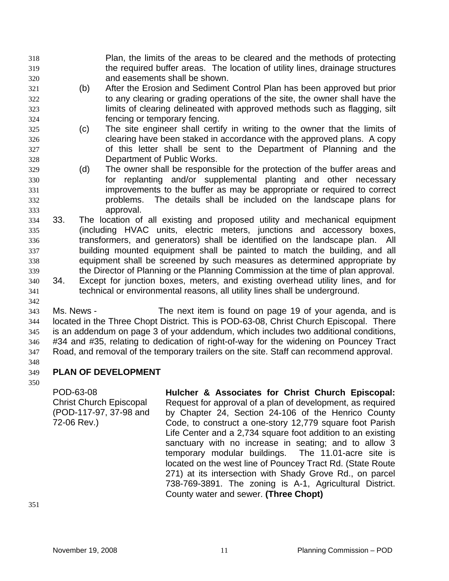- Plan, the limits of the areas to be cleared and the methods of protecting the required buffer areas. The location of utility lines, drainage structures and easements shall be shown. 318 319 320
- 321 322 323 324 (b) After the Erosion and Sediment Control Plan has been approved but prior to any clearing or grading operations of the site, the owner shall have the limits of clearing delineated with approved methods such as flagging, silt fencing or temporary fencing.
- 325 326 327 328 (c) The site engineer shall certify in writing to the owner that the limits of clearing have been staked in accordance with the approved plans. A copy of this letter shall be sent to the Department of Planning and the Department of Public Works.
- 329 330 331 332 333 (d) The owner shall be responsible for the protection of the buffer areas and for replanting and/or supplemental planting and other necessary improvements to the buffer as may be appropriate or required to correct problems. The details shall be included on the landscape plans for approval.
- 334 335 336 337 338 339 33. The location of all existing and proposed utility and mechanical equipment (including HVAC units, electric meters, junctions and accessory boxes, transformers, and generators) shall be identified on the landscape plan. All building mounted equipment shall be painted to match the building, and all equipment shall be screened by such measures as determined appropriate by the Director of Planning or the Planning Commission at the time of plan approval.
- 340 341 342 34. Except for junction boxes, meters, and existing overhead utility lines, and for technical or environmental reasons, all utility lines shall be underground.
- 343 344 345 346 347 Ms. News - The next item is found on page 19 of your agenda, and is located in the Three Chopt District. This is POD-63-08, Christ Church Episcopal. There is an addendum on page 3 of your addendum, which includes two additional conditions, #34 and #35, relating to dedication of right-of-way for the widening on Pouncey Tract Road, and removal of the temporary trailers on the site. Staff can recommend approval.
- 348

#### 349 **PLAN OF DEVELOPMENT**

350

POD-63-08 Christ Church Episcopal (POD-117-97, 37-98 and 72-06 Rev.)

**Hulcher & Associates for Christ Church Episcopal:**  Request for approval of a plan of development, as required by Chapter 24, Section 24-106 of the Henrico County Code, to construct a one-story 12,779 square foot Parish Life Center and a 2,734 square foot addition to an existing sanctuary with no increase in seating; and to allow 3 temporary modular buildings. The 11.01-acre site is located on the west line of Pouncey Tract Rd. (State Route 271) at its intersection with Shady Grove Rd., on parcel 738-769-3891. The zoning is A-1, Agricultural District. County water and sewer. **(Three Chopt)**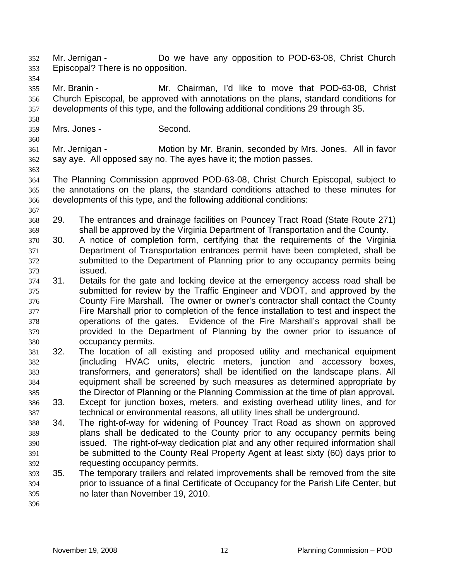Mr. Jernigan - Do we have any opposition to POD-63-08, Christ Church Episcopal? There is no opposition. 352 353

354

355 356 357 Mr. Branin - Mr. Chairman, I'd like to move that POD-63-08, Christ Church Episcopal, be approved with annotations on the plans, standard conditions for developments of this type, and the following additional conditions 29 through 35.

- 359 Mrs. Jones - Second.
- 360

358

361 362 Mr. Jernigan - Motion by Mr. Branin, seconded by Mrs. Jones. All in favor say aye. All opposed say no. The ayes have it; the motion passes.

363

364 365 366 The Planning Commission approved POD-63-08, Christ Church Episcopal, subject to the annotations on the plans, the standard conditions attached to these minutes for developments of this type, and the following additional conditions:

- 367 368 369 29. The entrances and drainage facilities on Pouncey Tract Road (State Route 271) shall be approved by the Virginia Department of Transportation and the County.
- 370 371 372 373 30. A notice of completion form, certifying that the requirements of the Virginia Department of Transportation entrances permit have been completed, shall be submitted to the Department of Planning prior to any occupancy permits being issued.
- 374 375 376 377 378 379 380 31. Details for the gate and locking device at the emergency access road shall be submitted for review by the Traffic Engineer and VDOT, and approved by the County Fire Marshall. The owner or owner's contractor shall contact the County Fire Marshall prior to completion of the fence installation to test and inspect the operations of the gates. Evidence of the Fire Marshall's approval shall be provided to the Department of Planning by the owner prior to issuance of occupancy permits.
- 381 382 383 384 385 32. The location of all existing and proposed utility and mechanical equipment (including HVAC units, electric meters, junction and accessory boxes, transformers, and generators) shall be identified on the landscape plans. All equipment shall be screened by such measures as determined appropriate by the Director of Planning or the Planning Commission at the time of plan approval**.**
- 386 387 33. Except for junction boxes, meters, and existing overhead utility lines, and for technical or environmental reasons, all utility lines shall be underground.
- 388 389 390 391 392 34. The right-of-way for widening of Pouncey Tract Road as shown on approved plans shall be dedicated to the County prior to any occupancy permits being issued. The right-of-way dedication plat and any other required information shall be submitted to the County Real Property Agent at least sixty (60) days prior to requesting occupancy permits.
- 393 394 395 35. The temporary trailers and related improvements shall be removed from the site prior to issuance of a final Certificate of Occupancy for the Parish Life Center, but no later than November 19, 2010.
- 396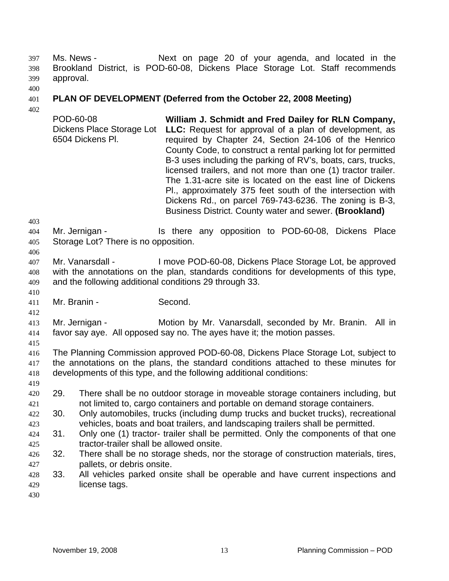Ms. News - The Mext on page 20 of your agenda, and located in the Brookland District, is POD-60-08, Dickens Place Storage Lot. Staff recommends approval. 397 398 399

400

#### 401 **PLAN OF DEVELOPMENT (Deferred from the October 22, 2008 Meeting)**

402

POD-60-08 Dickens Place Storage Lot 6504 Dickens Pl. **William J. Schmidt and Fred Dailey for RLN Company, LLC:** Request for approval of a plan of development, as required by Chapter 24, Section 24-106 of the Henrico County Code, to construct a rental parking lot for permitted B-3 uses including the parking of RV's, boats, cars, trucks, licensed trailers, and not more than one (1) tractor trailer. The 1.31-acre site is located on the east line of Dickens Pl., approximately 375 feet south of the intersection with Dickens Rd., on parcel 769-743-6236. The zoning is B-3, Business District. County water and sewer. **(Brookland)** 

403

406

410

412

404 405 Mr. Jernigan - Is there any opposition to POD-60-08, Dickens Place Storage Lot? There is no opposition.

407 408 409 Mr. Vanarsdall - I move POD-60-08, Dickens Place Storage Lot, be approved with the annotations on the plan, standards conditions for developments of this type, and the following additional conditions 29 through 33.

411 Mr. Branin - Second.

413 414 Mr. Jernigan - **Motion by Mr. Vanarsdall, seconded by Mr. Branin.** All in favor say aye. All opposed say no. The ayes have it; the motion passes.

415

419

416 417 418 The Planning Commission approved POD-60-08, Dickens Place Storage Lot, subject to the annotations on the plans, the standard conditions attached to these minutes for developments of this type, and the following additional conditions:

- 420 421 29. There shall be no outdoor storage in moveable storage containers including, but not limited to, cargo containers and portable on demand storage containers.
- 423 422 30. Only automobiles, trucks (including dump trucks and bucket trucks), recreational vehicles, boats and boat trailers, and landscaping trailers shall be permitted.
- 425 424 31. Only one (1) tractor- trailer shall be permitted. Only the components of that one tractor-trailer shall be allowed onsite.
- 427 426 32. There shall be no storage sheds, nor the storage of construction materials, tires, pallets, or debris onsite.
- 429 428 33. All vehicles parked onsite shall be operable and have current inspections and license tags.
- 430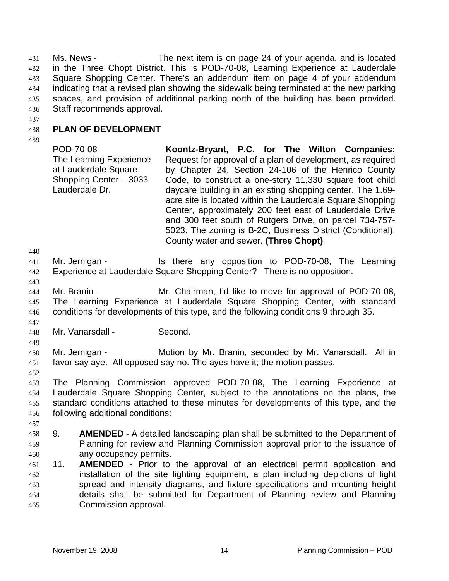Ms. News - The next item is on page 24 of your agenda, and is located in the Three Chopt District. This is POD-70-08, Learning Experience at Lauderdale Square Shopping Center. There's an addendum item on page 4 of your addendum indicating that a revised plan showing the sidewalk being terminated at the new parking spaces, and provision of additional parking north of the building has been provided. Staff recommends approval. 431 432 433 434 435 436

437

#### 438 **PLAN OF DEVELOPMENT**

439

POD-70-08 The Learning Experience at Lauderdale Square Shopping Center – 3033 Lauderdale Dr. **Koontz-Bryant, P.C. for The Wilton Companies:**  Request for approval of a plan of development, as required by Chapter 24, Section 24-106 of the Henrico County Code, to construct a one-story 11,330 square foot child daycare building in an existing shopping center. The 1.69 acre site is located within the Lauderdale Square Shopping Center, approximately 200 feet east of Lauderdale Drive and 300 feet south of Rutgers Drive, on parcel 734-757- 5023. The zoning is B-2C, Business District (Conditional). County water and sewer. **(Three Chopt)** 

440

441 442 Mr. Jernigan - The State any opposition to POD-70-08, The Learning Experience at Lauderdale Square Shopping Center? There is no opposition.

- 443 444 445 446 Mr. Branin - The Mr. Chairman, I'd like to move for approval of POD-70-08, The Learning Experience at Lauderdale Square Shopping Center, with standard conditions for developments of this type, and the following conditions 9 through 35.
- 447 448

449

452

457

Mr. Vanarsdall - Second.

450 451 Mr. Jernigan - **Motion by Mr. Branin, seconded by Mr. Vanarsdall.** All in favor say aye. All opposed say no. The ayes have it; the motion passes.

453 454 455 456 The Planning Commission approved POD-70-08, The Learning Experience at Lauderdale Square Shopping Center, subject to the annotations on the plans, the standard conditions attached to these minutes for developments of this type, and the following additional conditions:

- 458 459 460 9. **AMENDED** - A detailed landscaping plan shall be submitted to the Department of Planning for review and Planning Commission approval prior to the issuance of any occupancy permits.
- 461 462 463 464 465 11. **AMENDED** - Prior to the approval of an electrical permit application and installation of the site lighting equipment, a plan including depictions of light spread and intensity diagrams, and fixture specifications and mounting height details shall be submitted for Department of Planning review and Planning Commission approval.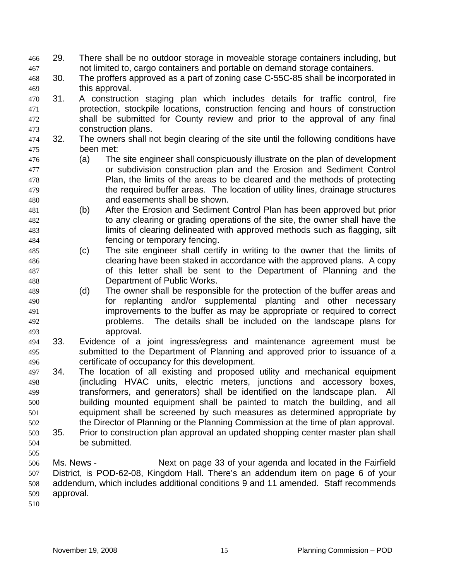- 29. There shall be no outdoor storage in moveable storage containers including, but not limited to, cargo containers and portable on demand storage containers. 466 467
- 468 469 30. The proffers approved as a part of zoning case C-55C-85 shall be incorporated in this approval.
- 470 471 472 473 31. A construction staging plan which includes details for traffic control, fire protection, stockpile locations, construction fencing and hours of construction shall be submitted for County review and prior to the approval of any final construction plans.
- 474 475 32. The owners shall not begin clearing of the site until the following conditions have been met:
- 476 477 478 479 480 (a) The site engineer shall conspicuously illustrate on the plan of development or subdivision construction plan and the Erosion and Sediment Control Plan, the limits of the areas to be cleared and the methods of protecting the required buffer areas. The location of utility lines, drainage structures and easements shall be shown.
- 481 482 483 484 (b) After the Erosion and Sediment Control Plan has been approved but prior to any clearing or grading operations of the site, the owner shall have the limits of clearing delineated with approved methods such as flagging, silt fencing or temporary fencing.
- 485 486 487 488 (c) The site engineer shall certify in writing to the owner that the limits of clearing have been staked in accordance with the approved plans. A copy of this letter shall be sent to the Department of Planning and the Department of Public Works.
- 489 490 491 492 493 (d) The owner shall be responsible for the protection of the buffer areas and for replanting and/or supplemental planting and other necessary improvements to the buffer as may be appropriate or required to correct problems. The details shall be included on the landscape plans for approval.
- 494 495 496 33. Evidence of a joint ingress/egress and maintenance agreement must be submitted to the Department of Planning and approved prior to issuance of a certificate of occupancy for this development.
- 497 498 499 500 501 502 34. The location of all existing and proposed utility and mechanical equipment (including HVAC units, electric meters, junctions and accessory boxes, transformers, and generators) shall be identified on the landscape plan. All building mounted equipment shall be painted to match the building, and all equipment shall be screened by such measures as determined appropriate by the Director of Planning or the Planning Commission at the time of plan approval.
- 503 504 35. Prior to construction plan approval an updated shopping center master plan shall be submitted.
- 505
- 506 507 508 509 Ms. News - Next on page 33 of your agenda and located in the Fairfield District, is POD-62-08, Kingdom Hall. There's an addendum item on page 6 of your addendum, which includes additional conditions 9 and 11 amended. Staff recommends approval.
- 510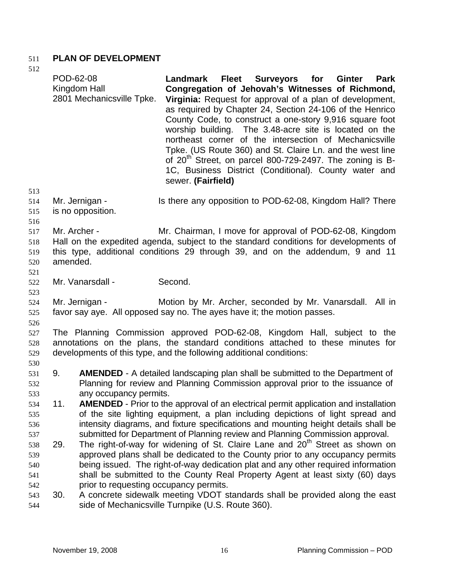## 511 **PLAN OF DEVELOPMENT**

512

513 514 515 516 517 518 519 520 521 522 523 524 525 526 527 528 529 530 531 532 533 534 535 536 537 538 539 540 541 542 543 544 POD-62-08 Kingdom Hall 2801 Mechanicsville Tpke. **Landmark Fleet Surveyors for Ginter Park Congregation of Jehovah's Witnesses of Richmond, Virginia:** Request for approval of a plan of development, as required by Chapter 24, Section 24-106 of the Henrico County Code, to construct a one-story 9,916 square foot worship building. The 3.48-acre site is located on the northeast corner of the intersection of Mechanicsville Tpke. (US Route 360) and St. Claire Ln. and the west line of  $20<sup>th</sup>$  Street, on parcel 800-729-2497. The zoning is B-1C, Business District (Conditional). County water and sewer. **(Fairfield)**  Mr. Jernigan - Is there any opposition to POD-62-08, Kingdom Hall? There is no opposition. Mr. Archer - **Mr. Chairman, I move for approval of POD-62-08, Kingdom** Hall on the expedited agenda, subject to the standard conditions for developments of this type, additional conditions 29 through 39, and on the addendum, 9 and 11 amended. Mr. Vanarsdall - Second. Mr. Jernigan - **Motion by Mr. Archer, seconded by Mr. Vanarsdall.** All in favor say aye. All opposed say no. The ayes have it; the motion passes. The Planning Commission approved POD-62-08, Kingdom Hall, subject to the annotations on the plans, the standard conditions attached to these minutes for developments of this type, and the following additional conditions: 9. **AMENDED** - A detailed landscaping plan shall be submitted to the Department of Planning for review and Planning Commission approval prior to the issuance of any occupancy permits. 11. **AMENDED** - Prior to the approval of an electrical permit application and installation of the site lighting equipment, a plan including depictions of light spread and intensity diagrams, and fixture specifications and mounting height details shall be submitted for Department of Planning review and Planning Commission approval. 29. The right-of-way for widening of St. Claire Lane and 20<sup>th</sup> Street as shown on approved plans shall be dedicated to the County prior to any occupancy permits being issued. The right-of-way dedication plat and any other required information shall be submitted to the County Real Property Agent at least sixty (60) days prior to requesting occupancy permits. 30. A concrete sidewalk meeting VDOT standards shall be provided along the east side of Mechanicsville Turnpike (U.S. Route 360).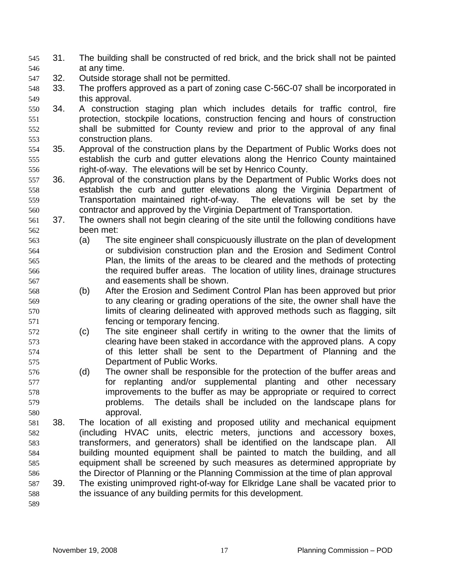- 31. The building shall be constructed of red brick, and the brick shall not be painted at any time. 545 546
- 547 32. Outside storage shall not be permitted.
- 548 549 33. The proffers approved as a part of zoning case C-56C-07 shall be incorporated in this approval.
- 550 551 552 553 34. A construction staging plan which includes details for traffic control, fire protection, stockpile locations, construction fencing and hours of construction shall be submitted for County review and prior to the approval of any final construction plans.
- 554 555 556 35. Approval of the construction plans by the Department of Public Works does not establish the curb and gutter elevations along the Henrico County maintained right-of-way. The elevations will be set by Henrico County.
- 557 558 559 560 36. Approval of the construction plans by the Department of Public Works does not establish the curb and gutter elevations along the Virginia Department of Transportation maintained right-of-way. The elevations will be set by the contractor and approved by the Virginia Department of Transportation.
- 561 562 37. The owners shall not begin clearing of the site until the following conditions have been met:
- 563 564 565 566 567 (a) The site engineer shall conspicuously illustrate on the plan of development or subdivision construction plan and the Erosion and Sediment Control Plan, the limits of the areas to be cleared and the methods of protecting the required buffer areas. The location of utility lines, drainage structures and easements shall be shown.
- 568 569 570 571 (b) After the Erosion and Sediment Control Plan has been approved but prior to any clearing or grading operations of the site, the owner shall have the limits of clearing delineated with approved methods such as flagging, silt fencing or temporary fencing.
- 572 573 574 575 (c) The site engineer shall certify in writing to the owner that the limits of clearing have been staked in accordance with the approved plans. A copy of this letter shall be sent to the Department of Planning and the Department of Public Works.
- 576 577 578 579 580 (d) The owner shall be responsible for the protection of the buffer areas and for replanting and/or supplemental planting and other necessary improvements to the buffer as may be appropriate or required to correct problems. The details shall be included on the landscape plans for approval.
- 581 582 583 584 585 586 38. The location of all existing and proposed utility and mechanical equipment (including HVAC units, electric meters, junctions and accessory boxes, transformers, and generators) shall be identified on the landscape plan. All building mounted equipment shall be painted to match the building, and all equipment shall be screened by such measures as determined appropriate by the Director of Planning or the Planning Commission at the time of plan approval
- 587 588 39. The existing unimproved right-of-way for Elkridge Lane shall be vacated prior to the issuance of any building permits for this development.
- 589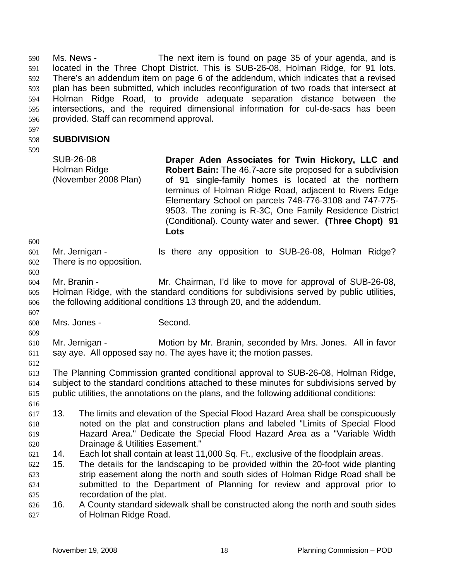Ms. News - The next item is found on page 35 of your agenda, and is located in the Three Chopt District. This is SUB-26-08, Holman Ridge, for 91 lots. There's an addendum item on page 6 of the addendum, which indicates that a revised plan has been submitted, which includes reconfiguration of two roads that intersect at Holman Ridge Road, to provide adequate separation distance between the intersections, and the required dimensional information for cul-de-sacs has been provided. Staff can recommend approval. 590 591 592 593 594 595 596

597

#### 598 **SUBDIVISION**

599

SUB-26-08 Holman Ridge (November 2008 Plan) **Draper Aden Associates for Twin Hickory, LLC and Robert Bain:** The 46.7-acre site proposed for a subdivision of 91 single-family homes is located at the northern terminus of Holman Ridge Road, adjacent to Rivers Edge Elementary School on parcels 748-776-3108 and 747-775- 9503. The zoning is R-3C, One Family Residence District (Conditional). County water and sewer. **(Three Chopt) 91 Lots** 

600 601

Mr. Jernigan - The Is there any opposition to SUB-26-08, Holman Ridge? There is no opposition.

602 603

607

604 605 606 Mr. Branin - Mr. Chairman, I'd like to move for approval of SUB-26-08, Holman Ridge, with the standard conditions for subdivisions served by public utilities, the following additional conditions 13 through 20, and the addendum.

608 Mrs. Jones - Second.

609 610 611 Mr. Jernigan - **Motion by Mr. Branin, seconded by Mrs. Jones.** All in favor say aye. All opposed say no. The ayes have it; the motion passes.

612

613 614 The Planning Commission granted conditional approval to SUB-26-08, Holman Ridge, subject to the standard conditions attached to these minutes for subdivisions served by

615 616 public utilities, the annotations on the plans, and the following additional conditions:

- 617 618 619 620 13. The limits and elevation of the Special Flood Hazard Area shall be conspicuously noted on the plat and construction plans and labeled "Limits of Special Flood Hazard Area." Dedicate the Special Flood Hazard Area as a "Variable Width Drainage & Utilities Easement."
- 621 14. Each lot shall contain at least 11,000 Sq. Ft., exclusive of the floodplain areas.
- 622 623 624 625 15. The details for the landscaping to be provided within the 20-foot wide planting strip easement along the north and south sides of Holman Ridge Road shall be submitted to the Department of Planning for review and approval prior to recordation of the plat.
- 626 627 16. A County standard sidewalk shall be constructed along the north and south sides of Holman Ridge Road.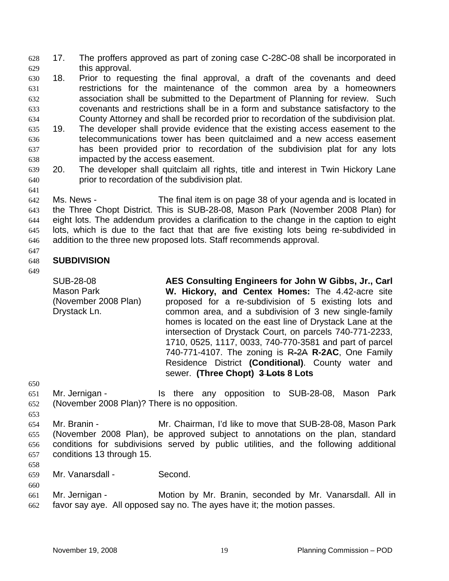17. The proffers approved as part of zoning case C-28C-08 shall be incorporated in this approval. 628 629

630 631 632 633 634 635 18. Prior to requesting the final approval, a draft of the covenants and deed restrictions for the maintenance of the common area by a homeowners association shall be submitted to the Department of Planning for review. Such covenants and restrictions shall be in a form and substance satisfactory to the County Attorney and shall be recorded prior to recordation of the subdivision plat. 19. The developer shall provide evidence that the existing access easement to the

- 636 637 638 telecommunications tower has been quitclaimed and a new access easement has been provided prior to recordation of the subdivision plat for any lots impacted by the access easement.
- 639 640 20. The developer shall quitclaim all rights, title and interest in Twin Hickory Lane prior to recordation of the subdivision plat.

642 643 644 645 646 Ms. News - The final item is on page 38 of your agenda and is located in the Three Chopt District. This is SUB-28-08, Mason Park (November 2008 Plan) for eight lots. The addendum provides a clarification to the change in the caption to eight lots, which is due to the fact that that are five existing lots being re-subdivided in addition to the three new proposed lots. Staff recommends approval.

#### 647 648 **SUBDIVISION**

### 649

641

SUB-28-08 Mason Park (November 2008 Plan) Drystack Ln.

**AES Consulting Engineers for John W Gibbs, Jr., Carl W. Hickory, and Centex Homes:** The 4.42-acre site proposed for a re-subdivision of 5 existing lots and common area, and a subdivision of 3 new single-family homes is located on the east line of Drystack Lane at the intersection of Drystack Court, on parcels 740-771-2233, 1710, 0525, 1117, 0033, 740-770-3581 and part of parcel 740-771-4107. The zoning is R-2A **R-2AC**, One Family Residence District **(Conditional)**. County water and sewer. **(Three Chopt) 3 Lots 8 Lots** 

650

- 651 652 Mr. Jernigan - Is there any opposition to SUB-28-08, Mason Park (November 2008 Plan)? There is no opposition.
- 653

654 655 656 657 Mr. Branin - Mr. Chairman, I'd like to move that SUB-28-08, Mason Park (November 2008 Plan), be approved subject to annotations on the plan, standard conditions for subdivisions served by public utilities, and the following additional conditions 13 through 15.

658

659 Mr. Vanarsdall - Second.

660 661 662 Mr. Jernigan - Motion by Mr. Branin, seconded by Mr. Vanarsdall. All in favor say aye. All opposed say no. The ayes have it; the motion passes.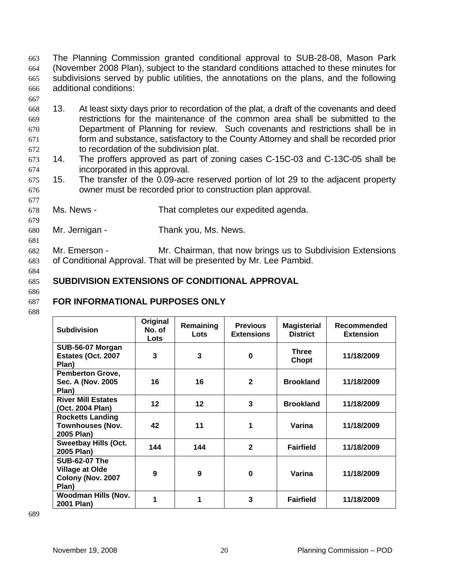The Planning Commission granted conditional approval to SUB-28-08, Mason Park (November 2008 Plan), subject to the standard conditions attached to these minutes for subdivisions served by public utilities, the annotations on the plans, and the following additional conditions: 663 664 665 666

- 667
- 668 669 670 671 672 13. At least sixty days prior to recordation of the plat, a draft of the covenants and deed restrictions for the maintenance of the common area shall be submitted to the Department of Planning for review. Such covenants and restrictions shall be in form and substance, satisfactory to the County Attorney and shall be recorded prior to recordation of the subdivision plat.
- 673 674 14. The proffers approved as part of zoning cases C-15C-03 and C-13C-05 shall be incorporated in this approval.
- 675 676 15. The transfer of the 0.09-acre reserved portion of lot 29 to the adjacent property owner must be recorded prior to construction plan approval.
- 678 Ms. News - That completes our expedited agenda.
- 680 Mr. Jernigan - Thank you, Ms. News.
- 682 683 Mr. Emerson - Mr. Chairman, that now brings us to Subdivision Extensions of Conditional Approval. That will be presented by Mr. Lee Pambid.
- 684

677

679

681

#### 685 **SUBDIVISION EXTENSIONS OF CONDITIONAL APPROVAL**

686 687

# **FOR INFORMATIONAL PURPOSES ONLY**

688

| <b>Subdivision</b>                                                           | Original<br>No. of<br>Lots | Remaining<br>Lots | <b>Previous</b><br><b>Extensions</b> | <b>Magisterial</b><br><b>District</b> | Recommended<br><b>Extension</b> |
|------------------------------------------------------------------------------|----------------------------|-------------------|--------------------------------------|---------------------------------------|---------------------------------|
| SUB-56-07 Morgan<br>Estates (Oct. 2007<br>Plan)                              | 3                          | 3                 | $\bf{0}$                             | <b>Three</b><br>Chopt                 | 11/18/2009                      |
| <b>Pemberton Grove,</b><br>Sec. A (Nov. 2005)<br>Plan)                       | 16                         | 16                | $\mathbf{2}$                         | <b>Brookland</b>                      | 11/18/2009                      |
| <b>River Mill Estates</b><br>(Oct. 2004 Plan)                                | 12                         | 12                | 3                                    | <b>Brookland</b>                      | 11/18/2009                      |
| <b>Rocketts Landing</b><br><b>Townhouses (Nov.</b><br>2005 Plan)             | 42                         | 11                | 1                                    | Varina                                | 11/18/2009                      |
| <b>Sweetbay Hills (Oct.</b><br>2005 Plan)                                    | 144                        | 144               | $\mathbf{2}$                         | <b>Fairfield</b>                      | 11/18/2009                      |
| <b>SUB-62-07 The</b><br><b>Village at Olde</b><br>Colony (Nov. 2007<br>Plan) | 9                          | 9                 | $\bf{0}$                             | Varina                                | 11/18/2009                      |
| <b>Woodman Hills (Nov.</b><br>2001 Plan)                                     | 1                          | 1                 | 3                                    | <b>Fairfield</b>                      | 11/18/2009                      |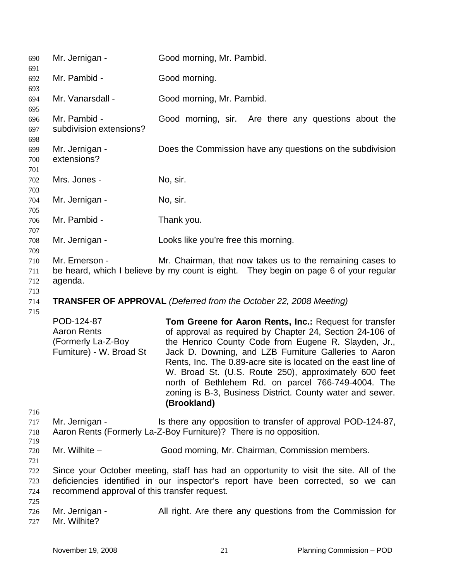| 690                             | Mr. Jernigan -                                                                                                                                                                | Good morning, Mr. Pambid.                                                                                                                                                                                                                                                                                                                                                                                                             |  |  |  |  |  |  |  |  |  |
|---------------------------------|-------------------------------------------------------------------------------------------------------------------------------------------------------------------------------|---------------------------------------------------------------------------------------------------------------------------------------------------------------------------------------------------------------------------------------------------------------------------------------------------------------------------------------------------------------------------------------------------------------------------------------|--|--|--|--|--|--|--|--|--|
| 691<br>692                      | Mr. Pambid -                                                                                                                                                                  | Good morning.                                                                                                                                                                                                                                                                                                                                                                                                                         |  |  |  |  |  |  |  |  |  |
| 693<br>694                      | Mr. Vanarsdall -                                                                                                                                                              | Good morning, Mr. Pambid.                                                                                                                                                                                                                                                                                                                                                                                                             |  |  |  |  |  |  |  |  |  |
| 695<br>696<br>697<br>698        | Mr. Pambid -<br>subdivision extensions?                                                                                                                                       | Good morning, sir. Are there any questions about the                                                                                                                                                                                                                                                                                                                                                                                  |  |  |  |  |  |  |  |  |  |
| 699<br>700<br>701               | Mr. Jernigan -<br>extensions?                                                                                                                                                 | Does the Commission have any questions on the subdivision                                                                                                                                                                                                                                                                                                                                                                             |  |  |  |  |  |  |  |  |  |
| 702                             | Mrs. Jones -                                                                                                                                                                  | No, sir.                                                                                                                                                                                                                                                                                                                                                                                                                              |  |  |  |  |  |  |  |  |  |
| 703<br>704                      | Mr. Jernigan -                                                                                                                                                                | No, sir.                                                                                                                                                                                                                                                                                                                                                                                                                              |  |  |  |  |  |  |  |  |  |
| 705<br>706                      | Mr. Pambid -                                                                                                                                                                  | Thank you.                                                                                                                                                                                                                                                                                                                                                                                                                            |  |  |  |  |  |  |  |  |  |
| 707<br>708                      | Mr. Jernigan -                                                                                                                                                                | Looks like you're free this morning.                                                                                                                                                                                                                                                                                                                                                                                                  |  |  |  |  |  |  |  |  |  |
| 709<br>710<br>711<br>712<br>713 | Mr. Emerson -<br>Mr. Chairman, that now takes us to the remaining cases to<br>be heard, which I believe by my count is eight. They begin on page 6 of your regular<br>agenda. |                                                                                                                                                                                                                                                                                                                                                                                                                                       |  |  |  |  |  |  |  |  |  |
| 714                             | <b>TRANSFER OF APPROVAL</b> (Deferred from the October 22, 2008 Meeting)                                                                                                      |                                                                                                                                                                                                                                                                                                                                                                                                                                       |  |  |  |  |  |  |  |  |  |
| 715                             | POD-124-87<br><b>Aaron Rents</b>                                                                                                                                              | Tom Greene for Aaron Rents, Inc.: Request for transfer                                                                                                                                                                                                                                                                                                                                                                                |  |  |  |  |  |  |  |  |  |
|                                 | (Formerly La-Z-Boy<br>Furniture) - W. Broad St                                                                                                                                | of approval as required by Chapter 24, Section 24-106 of<br>the Henrico County Code from Eugene R. Slayden, Jr.,<br>Jack D. Downing, and LZB Furniture Galleries to Aaron<br>Rents, Inc. The 0.89-acre site is located on the east line of<br>W. Broad St. (U.S. Route 250), approximately 600 feet<br>north of Bethlehem Rd. on parcel 766-749-4004. The<br>zoning is B-3, Business District. County water and sewer.<br>(Brookland) |  |  |  |  |  |  |  |  |  |
| 716<br>717<br>718               | Mr. Jernigan -                                                                                                                                                                | Is there any opposition to transfer of approval POD-124-87,<br>Aaron Rents (Formerly La-Z-Boy Furniture)? There is no opposition.                                                                                                                                                                                                                                                                                                     |  |  |  |  |  |  |  |  |  |
| 719<br>720                      | Mr. Wilhite $-$                                                                                                                                                               | Good morning, Mr. Chairman, Commission members.                                                                                                                                                                                                                                                                                                                                                                                       |  |  |  |  |  |  |  |  |  |
| 721<br>722<br>723<br>724<br>725 | recommend approval of this transfer request.                                                                                                                                  | Since your October meeting, staff has had an opportunity to visit the site. All of the<br>deficiencies identified in our inspector's report have been corrected, so we can                                                                                                                                                                                                                                                            |  |  |  |  |  |  |  |  |  |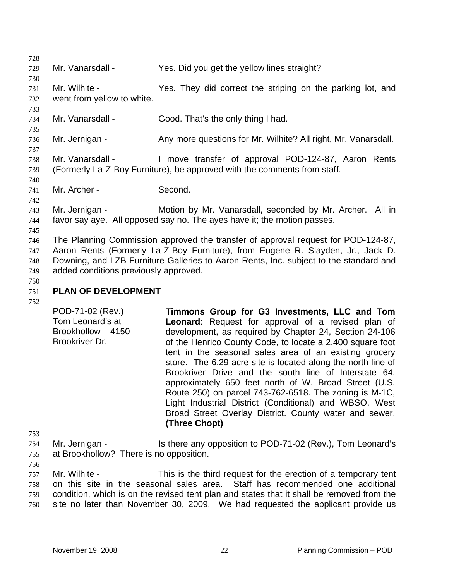728 729 730 731 732 733 734 735 736 737 738 739 740 741 742 743 744 745 746 747 748 749 750 Mr. Vanarsdall - Yes. Did you get the yellow lines straight? Mr. Wilhite - Yes. They did correct the striping on the parking lot, and went from yellow to white. Mr. Vanarsdall - Good. That's the only thing I had. Mr. Jernigan - Any more questions for Mr. Wilhite? All right, Mr. Vanarsdall. Mr. Vanarsdall - The Move transfer of approval POD-124-87, Aaron Rents (Formerly La-Z-Boy Furniture), be approved with the comments from staff. Mr. Archer - Second. Mr. Jernigan - **Motion by Mr. Vanarsdall, seconded by Mr. Archer.** All in favor say aye. All opposed say no. The ayes have it; the motion passes. The Planning Commission approved the transfer of approval request for POD-124-87, Aaron Rents (Formerly La-Z-Boy Furniture), from Eugene R. Slayden, Jr., Jack D. Downing, and LZB Furniture Galleries to Aaron Rents, Inc. subject to the standard and added conditions previously approved.

#### 751 **PLAN OF DEVELOPMENT**

752

POD-71-02 (Rev.) Tom Leonard's at Brookhollow – 4150 Brookriver Dr. **Timmons Group for G3 Investments, LLC and Tom Leonard**: Request for approval of a revised plan of development, as required by Chapter 24, Section 24-106 of the Henrico County Code, to locate a 2,400 square foot tent in the seasonal sales area of an existing grocery store. The 6.29-acre site is located along the north line of Brookriver Drive and the south line of Interstate 64, approximately 650 feet north of W. Broad Street (U.S. Route 250) on parcel 743-762-6518. The zoning is M-1C, Light Industrial District (Conditional) and WBSO, West Broad Street Overlay District. County water and sewer. **(Three Chopt)**

754 755 Mr. Jernigan - Is there any opposition to POD-71-02 (Rev.), Tom Leonard's at Brookhollow? There is no opposition.

756

753

757 758 759 760 Mr. Wilhite - This is the third request for the erection of a temporary tent on this site in the seasonal sales area. Staff has recommended one additional condition, which is on the revised tent plan and states that it shall be removed from the site no later than November 30, 2009. We had requested the applicant provide us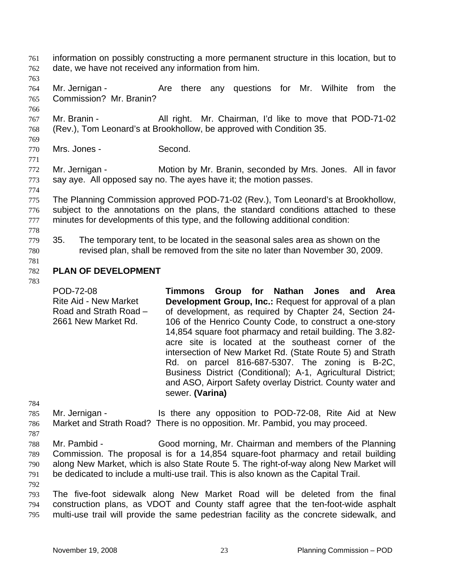- information on possibly constructing a more permanent structure in this location, but to date, we have not received any information from him. 761 762
- 763

766

- 764 765 Mr. Jernigan - The Are there any questions for Mr. Wilhite from the Commission? Mr. Branin?
- 767 768 Mr. Branin - All right. Mr. Chairman, I'd like to move that POD-71-02 (Rev.), Tom Leonard's at Brookhollow, be approved with Condition 35.
- 769 770

771

774

Mrs. Jones - Second.

- 772 773 Mr. Jernigan - Motion by Mr. Branin, seconded by Mrs. Jones. All in favor say aye. All opposed say no. The ayes have it; the motion passes.
- 775 776 777 The Planning Commission approved POD-71-02 (Rev.), Tom Leonard's at Brookhollow, subject to the annotations on the plans, the standard conditions attached to these minutes for developments of this type, and the following additional condition:
- 778
- 779 780 35. The temporary tent, to be located in the seasonal sales area as shown on the revised plan, shall be removed from the site no later than November 30, 2009.
- 781

#### 782 **PLAN OF DEVELOPMENT**

783

POD-72-08 Rite Aid - New Market Road and Strath Road – 2661 New Market Rd. **Timmons Group for Nathan Jones and Area Development Group, Inc.:** Request for approval of a plan of development, as required by Chapter 24, Section 24- 106 of the Henrico County Code, to construct a one-story 14,854 square foot pharmacy and retail building. The 3.82 acre site is located at the southeast corner of the intersection of New Market Rd. (State Route 5) and Strath Rd. on parcel 816-687-5307. The zoning is B-2C, Business District (Conditional); A-1, Agricultural District; and ASO, Airport Safety overlay District. County water and sewer. **(Varina)** 

784

- 785 786 Mr. Jernigan - Is there any opposition to POD-72-08, Rite Aid at New Market and Strath Road? There is no opposition. Mr. Pambid, you may proceed.
- 788 789 790 791 792 Mr. Pambid - Good morning, Mr. Chairman and members of the Planning Commission. The proposal is for a 14,854 square-foot pharmacy and retail building along New Market, which is also State Route 5. The right-of-way along New Market will be dedicated to include a multi-use trail. This is also known as the Capital Trail.
- 793 794 795 The five-foot sidewalk along New Market Road will be deleted from the final construction plans, as VDOT and County staff agree that the ten-foot-wide asphalt multi-use trail will provide the same pedestrian facility as the concrete sidewalk, and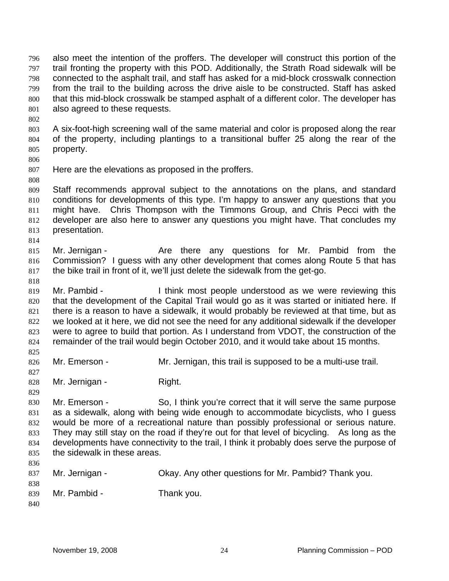also meet the intention of the proffers. The developer will construct this portion of the trail fronting the property with this POD. Additionally, the Strath Road sidewalk will be connected to the asphalt trail, and staff has asked for a mid-block crosswalk connection from the trail to the building across the drive aisle to be constructed. Staff has asked that this mid-block crosswalk be stamped asphalt of a different color. The developer has also agreed to these requests. 796 797 798 799 800 801 802

- 803 804 805 A six-foot-high screening wall of the same material and color is proposed along the rear of the property, including plantings to a transitional buffer 25 along the rear of the property.
- 806

808

814

825

827

829

807 Here are the elevations as proposed in the proffers.

809 810 811 812 813 Staff recommends approval subject to the annotations on the plans, and standard conditions for developments of this type. I'm happy to answer any questions that you might have. Chris Thompson with the Timmons Group, and Chris Pecci with the developer are also here to answer any questions you might have. That concludes my presentation.

- 815 816 817 Mr. Jernigan - The Are there any questions for Mr. Pambid from the Commission? I guess with any other development that comes along Route 5 that has the bike trail in front of it, we'll just delete the sidewalk from the get-go.
- 818 819 Mr. Pambid - Think most people understood as we were reviewing this

820 821 822 823 824 that the development of the Capital Trail would go as it was started or initiated here. If there is a reason to have a sidewalk, it would probably be reviewed at that time, but as we looked at it here, we did not see the need for any additional sidewalk if the developer were to agree to build that portion. As I understand from VDOT, the construction of the remainder of the trail would begin October 2010, and it would take about 15 months.

- 826 Mr. Emerson - The Mr. Jernigan, this trail is supposed to be a multi-use trail.
- 828 Mr. Jernigan - Right.
- 830 831 832 833 834 835 Mr. Emerson - So, I think you're correct that it will serve the same purpose as a sidewalk, along with being wide enough to accommodate bicyclists, who I guess would be more of a recreational nature than possibly professional or serious nature. They may still stay on the road if they're out for that level of bicycling. As long as the developments have connectivity to the trail, I think it probably does serve the purpose of the sidewalk in these areas.
- 836 837 838 839 840 Mr. Jernigan - Okay. Any other questions for Mr. Pambid? Thank you. Mr. Pambid - Thank you.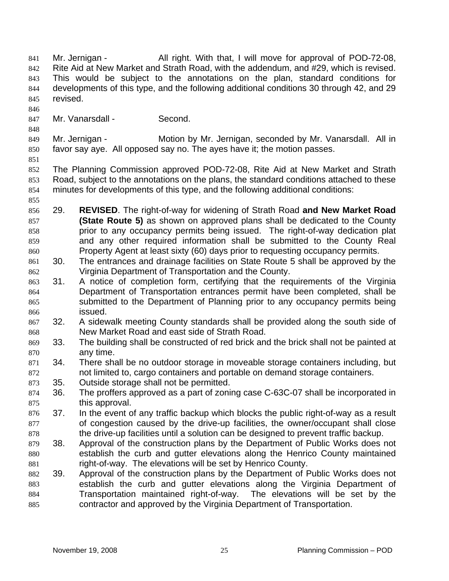Mr. Jernigan - All right. With that, I will move for approval of POD-72-08, Rite Aid at New Market and Strath Road, with the addendum, and #29, which is revised. This would be subject to the annotations on the plan, standard conditions for developments of this type, and the following additional conditions 30 through 42, and 29 revised. 841 842 843 844 845

846

847 Mr. Vanarsdall - Second.

849 850 Mr. Jernigan - Motion by Mr. Jernigan, seconded by Mr. Vanarsdall. All in favor say aye. All opposed say no. The ayes have it; the motion passes.

851

848

852 853 854 The Planning Commission approved POD-72-08, Rite Aid at New Market and Strath Road, subject to the annotations on the plans, the standard conditions attached to these minutes for developments of this type, and the following additional conditions:

855

856 857 858 859 860 29. **REVISED**. The right-of-way for widening of Strath Road **and New Market Road (State Route 5)** as shown on approved plans shall be dedicated to the County prior to any occupancy permits being issued. The right-of-way dedication plat and any other required information shall be submitted to the County Real Property Agent at least sixty (60) days prior to requesting occupancy permits.

- 861 862 30. The entrances and drainage facilities on State Route 5 shall be approved by the Virginia Department of Transportation and the County.
- 863 864 865 866 31. A notice of completion form, certifying that the requirements of the Virginia Department of Transportation entrances permit have been completed, shall be submitted to the Department of Planning prior to any occupancy permits being issued.
- 867 868 32. A sidewalk meeting County standards shall be provided along the south side of New Market Road and east side of Strath Road.
- 869 870 33. The building shall be constructed of red brick and the brick shall not be painted at any time.
- 871 872 34. There shall be no outdoor storage in moveable storage containers including, but not limited to, cargo containers and portable on demand storage containers.
- 873 35. Outside storage shall not be permitted.
- 874 875 36. The proffers approved as a part of zoning case C-63C-07 shall be incorporated in this approval.
- 876 877 878 37. In the event of any traffic backup which blocks the public right-of-way as a result of congestion caused by the drive-up facilities, the owner/occupant shall close the drive-up facilities until a solution can be designed to prevent traffic backup.
- 879 880 881 38. Approval of the construction plans by the Department of Public Works does not establish the curb and gutter elevations along the Henrico County maintained right-of-way. The elevations will be set by Henrico County.
- 882 883 884 885 39. Approval of the construction plans by the Department of Public Works does not establish the curb and gutter elevations along the Virginia Department of Transportation maintained right-of-way. The elevations will be set by the contractor and approved by the Virginia Department of Transportation.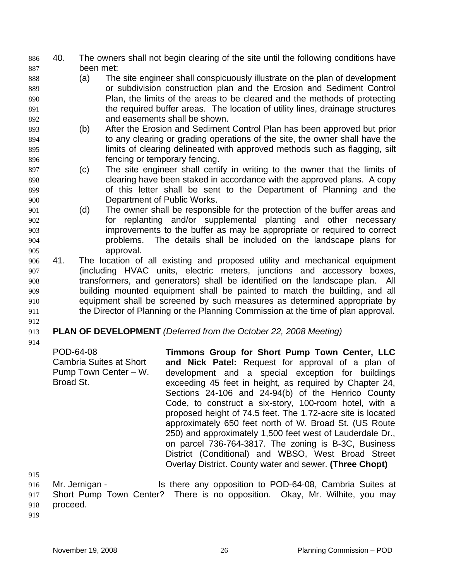- 40. The owners shall not begin clearing of the site until the following conditions have been met: 886 887
- 888 889 890 891 892 (a) The site engineer shall conspicuously illustrate on the plan of development or subdivision construction plan and the Erosion and Sediment Control Plan, the limits of the areas to be cleared and the methods of protecting the required buffer areas. The location of utility lines, drainage structures and easements shall be shown.
- 893 894 895 896 (b) After the Erosion and Sediment Control Plan has been approved but prior to any clearing or grading operations of the site, the owner shall have the limits of clearing delineated with approved methods such as flagging, silt fencing or temporary fencing.
- 897 898 899 900 (c) The site engineer shall certify in writing to the owner that the limits of clearing have been staked in accordance with the approved plans. A copy of this letter shall be sent to the Department of Planning and the Department of Public Works.
- 901 902 903 904 905 (d) The owner shall be responsible for the protection of the buffer areas and for replanting and/or supplemental planting and other necessary improvements to the buffer as may be appropriate or required to correct problems. The details shall be included on the landscape plans for approval.
- 906 907 908 909 910 911 41. The location of all existing and proposed utility and mechanical equipment (including HVAC units, electric meters, junctions and accessory boxes, transformers, and generators) shall be identified on the landscape plan. All building mounted equipment shall be painted to match the building, and all equipment shall be screened by such measures as determined appropriate by the Director of Planning or the Planning Commission at the time of plan approval.
- 912

#### 913 **PLAN OF DEVELOPMENT** *(Deferred from the October 22, 2008 Meeting)*

914

POD-64-08 Cambria Suites at Short Pump Town Center – W. Broad St. **Timmons Group for Short Pump Town Center, LLC and Nick Patel:** Request for approval of a plan of development and a special exception for buildings exceeding 45 feet in height, as required by Chapter 24, Sections 24-106 and 24-94(b) of the Henrico County Code, to construct a six-story, 100-room hotel, with a proposed height of 74.5 feet. The 1.72-acre site is located approximately 650 feet north of W. Broad St. (US Route 250) and approximately 1,500 feet west of Lauderdale Dr., on parcel 736-764-3817. The zoning is B-3C, Business District (Conditional) and WBSO, West Broad Street Overlay District. County water and sewer. **(Three Chopt)** 

- 916 917 918 Mr. Jernigan - Is there any opposition to POD-64-08, Cambria Suites at Short Pump Town Center? There is no opposition. Okay, Mr. Wilhite, you may proceed.
- 919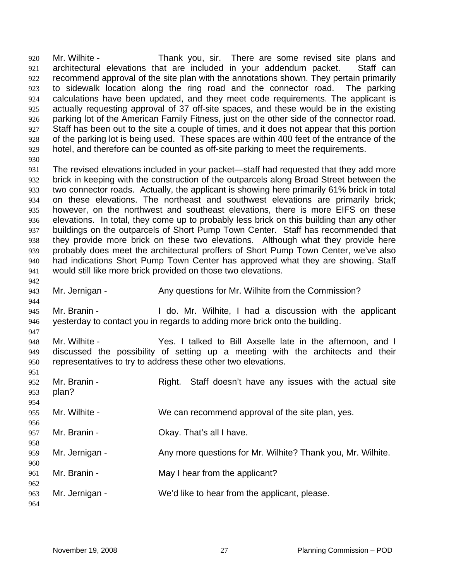Mr. Wilhite - Thank you, sir. There are some revised site plans and architectural elevations that are included in your addendum packet. Staff can recommend approval of the site plan with the annotations shown. They pertain primarily to sidewalk location along the ring road and the connector road. The parking calculations have been updated, and they meet code requirements. The applicant is actually requesting approval of 37 off-site spaces, and these would be in the existing parking lot of the American Family Fitness, just on the other side of the connector road. Staff has been out to the site a couple of times, and it does not appear that this portion of the parking lot is being used. These spaces are within 400 feet of the entrance of the hotel, and therefore can be counted as off-site parking to meet the requirements. 920 921 922 923 924 925 926 927 928 929 930

- 931 932 933 934 935 936 937 938 939 940 941 The revised elevations included in your packet—staff had requested that they add more brick in keeping with the construction of the outparcels along Broad Street between the two connector roads. Actually, the applicant is showing here primarily 61% brick in total on these elevations. The northeast and southwest elevations are primarily brick; however, on the northwest and southeast elevations, there is more EIFS on these elevations. In total, they come up to probably less brick on this building than any other buildings on the outparcels of Short Pump Town Center. Staff has recommended that they provide more brick on these two elevations. Although what they provide here probably does meet the architectural proffers of Short Pump Town Center, we've also had indications Short Pump Town Center has approved what they are showing. Staff would still like more brick provided on those two elevations.
- 943 Mr. Jernigan - The Any questions for Mr. Wilhite from the Commission?
- 945 946 Mr. Branin - The Mr. Willers, I had a discussion with the applicant yesterday to contact you in regards to adding more brick onto the building.
- 948 949 950 Mr. Wilhite - Yes. I talked to Bill Axselle late in the afternoon, and I discussed the possibility of setting up a meeting with the architects and their representatives to try to address these other two elevations.
- 952 953 954 955 956 957 958 Mr. Branin - The Right. Staff doesn't have any issues with the actual site plan? Mr. Wilhite - We can recommend approval of the site plan, yes. Mr. Branin - Ckay. That's all I have.
- 959 Mr. Jernigan - Any more questions for Mr. Wilhite? Thank you, Mr. Wilhite.
- 961 Mr. Branin - May I hear from the applicant?
- 963 Mr. Jernigan - We'd like to hear from the applicant, please.
- 964

960

962

942

944

947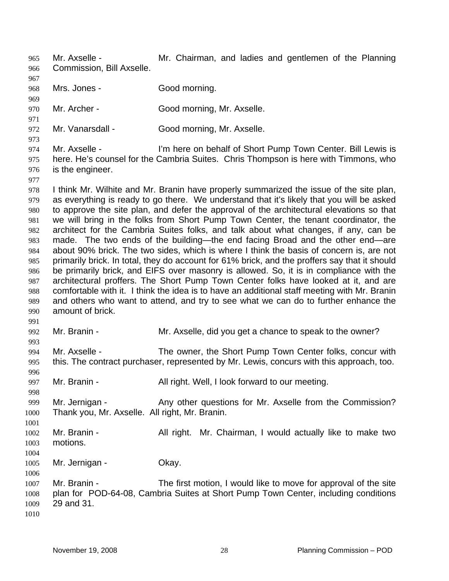Mr. Axselle - **Mr. Chairman**, and ladies and gentlemen of the Planning Commission, Bill Axselle. 965 966

967 968 Mrs. Jones - Good morning.

969

977

991 992 993

970 971 Mr. Archer - Good morning, Mr. Axselle.

972 Mr. Vanarsdall - Good morning, Mr. Axselle.

973 974 975 976 Mr. Axselle - I'm here on behalf of Short Pump Town Center. Bill Lewis is here. He's counsel for the Cambria Suites. Chris Thompson is here with Timmons, who is the engineer.

978 979 980 981 982 983 984 985 986 987 988 989 990 I think Mr. Wilhite and Mr. Branin have properly summarized the issue of the site plan, as everything is ready to go there. We understand that it's likely that you will be asked to approve the site plan, and defer the approval of the architectural elevations so that we will bring in the folks from Short Pump Town Center, the tenant coordinator, the architect for the Cambria Suites folks, and talk about what changes, if any, can be made. The two ends of the building—the end facing Broad and the other end—are about 90% brick. The two sides, which is where I think the basis of concern is, are not primarily brick. In total, they do account for 61% brick, and the proffers say that it should be primarily brick, and EIFS over masonry is allowed. So, it is in compliance with the architectural proffers. The Short Pump Town Center folks have looked at it, and are comfortable with it. I think the idea is to have an additional staff meeting with Mr. Branin and others who want to attend, and try to see what we can do to further enhance the amount of brick.

Mr. Branin - Mr. Axselle, did you get a chance to speak to the owner?

994 995 996 Mr. Axselle - The owner, the Short Pump Town Center folks, concur with this. The contract purchaser, represented by Mr. Lewis, concurs with this approach, too.

997 Mr. Branin - **All right. Well, I look forward to our meeting.** 

998 999 1000 Mr. Jernigan - Any other questions for Mr. Axselle from the Commission? Thank you, Mr. Axselle. All right, Mr. Branin.

1001 1002 1003 1004 Mr. Branin - **All right.** Mr. Chairman, I would actually like to make two motions.

1005 Mr. Jernigan - Ckay.

1007 1008 1009 Mr. Branin - The first motion, I would like to move for approval of the site plan for POD-64-08, Cambria Suites at Short Pump Town Center, including conditions 29 and 31.

1010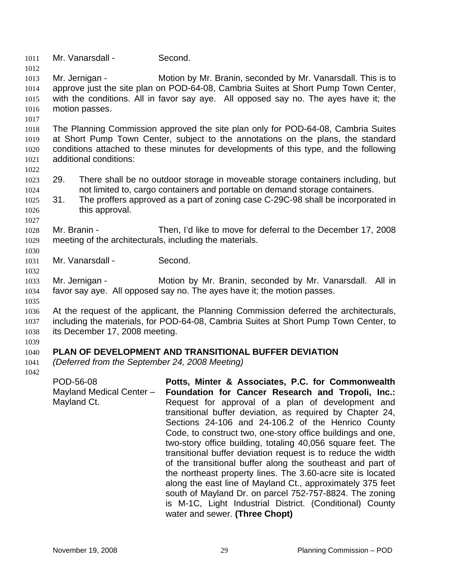1011 Mr. Vanarsdall - Second.

1013 1014 1015 1016 Mr. Jernigan - Motion by Mr. Branin, seconded by Mr. Vanarsdall. This is to approve just the site plan on POD-64-08, Cambria Suites at Short Pump Town Center, with the conditions. All in favor say aye. All opposed say no. The ayes have it; the motion passes.

1017

1012

1018 1019 1020 1021 The Planning Commission approved the site plan only for POD-64-08, Cambria Suites at Short Pump Town Center, subject to the annotations on the plans, the standard conditions attached to these minutes for developments of this type, and the following additional conditions:

1022

1027

1030

1032

- 1023 1024 29. There shall be no outdoor storage in moveable storage containers including, but not limited to, cargo containers and portable on demand storage containers.
- 1025 1026 31. The proffers approved as a part of zoning case C-29C-98 shall be incorporated in this approval.

1028 1029 Mr. Branin - Then, I'd like to move for deferral to the December 17, 2008 meeting of the architecturals, including the materials.

1031 Mr. Vanarsdall - Second.

1033 1034 Mr. Jernigan - **Motion by Mr. Branin, seconded by Mr. Vanarsdall.** All in favor say aye. All opposed say no. The ayes have it; the motion passes.

1035

1036 1037 1038 At the request of the applicant, the Planning Commission deferred the architecturals, including the materials, for POD-64-08, Cambria Suites at Short Pump Town Center, to its December 17, 2008 meeting.

1039

#### 1040 **PLAN OF DEVELOPMENT AND TRANSITIONAL BUFFER DEVIATION**

1041 1042 *(Deferred from the September 24, 2008 Meeting)* 

POD-56-08 Mayland Medical Center – Mayland Ct. **Potts, Minter & Associates, P.C. for Commonwealth Foundation for Cancer Research and Tropoli, Inc.:**  Request for approval of a plan of development and transitional buffer deviation, as required by Chapter 24, Sections 24-106 and 24-106.2 of the Henrico County Code, to construct two, one-story office buildings and one, two-story office building, totaling 40,056 square feet. The transitional buffer deviation request is to reduce the width of the transitional buffer along the southeast and part of the northeast property lines. The 3.60-acre site is located along the east line of Mayland Ct., approximately 375 feet south of Mayland Dr. on parcel 752-757-8824. The zoning is M-1C, Light Industrial District. (Conditional) County water and sewer. **(Three Chopt)**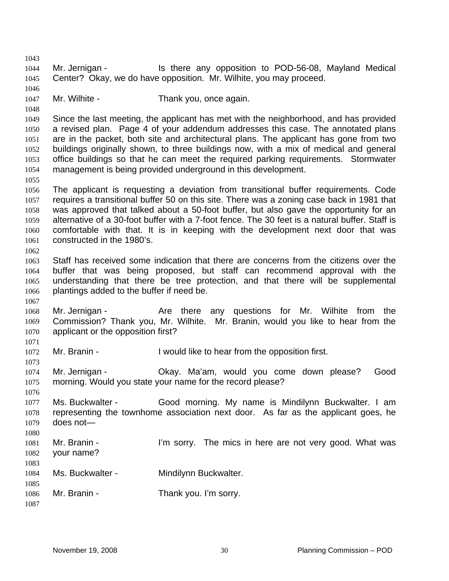1043 1044 1045 1046 1047 1048 1049 1050 1051 1052 1053 1054 1055 1056 1057 1058 1059 1060 1061 1062 1063 1064 1065 1066 1067 1068 1069 1070 1071 1072 1073 1074 1075 1076 1077 1078 1079 1080 1081 1082 1083 1084 1085 1086 1087 Mr. Jernigan - Is there any opposition to POD-56-08, Mayland Medical Center? Okay, we do have opposition. Mr. Wilhite, you may proceed. Mr. Wilhite - Thank you, once again. Since the last meeting, the applicant has met with the neighborhood, and has provided a revised plan. Page 4 of your addendum addresses this case. The annotated plans are in the packet, both site and architectural plans. The applicant has gone from two buildings originally shown, to three buildings now, with a mix of medical and general office buildings so that he can meet the required parking requirements. Stormwater management is being provided underground in this development. The applicant is requesting a deviation from transitional buffer requirements. Code requires a transitional buffer 50 on this site. There was a zoning case back in 1981 that was approved that talked about a 50-foot buffer, but also gave the opportunity for an alternative of a 30-foot buffer with a 7-foot fence. The 30 feet is a natural buffer. Staff is comfortable with that. It is in keeping with the development next door that was constructed in the 1980's. Staff has received some indication that there are concerns from the citizens over the buffer that was being proposed, but staff can recommend approval with the understanding that there be tree protection, and that there will be supplemental plantings added to the buffer if need be. Mr. Jernigan - The Are there any questions for Mr. Wilhite from the Commission? Thank you, Mr. Wilhite. Mr. Branin, would you like to hear from the applicant or the opposition first? Mr. Branin - The Unit of I would like to hear from the opposition first. Mr. Jernigan - Okay. Ma'am, would you come down please? Good morning. Would you state your name for the record please? Ms. Buckwalter - Good morning. My name is Mindilynn Buckwalter. I am representing the townhome association next door. As far as the applicant goes, he does not— Mr. Branin - The sorty. The mics in here are not very good. What was your name? Ms. Buckwalter - Mindilynn Buckwalter. Mr. Branin - Thank you. I'm sorry.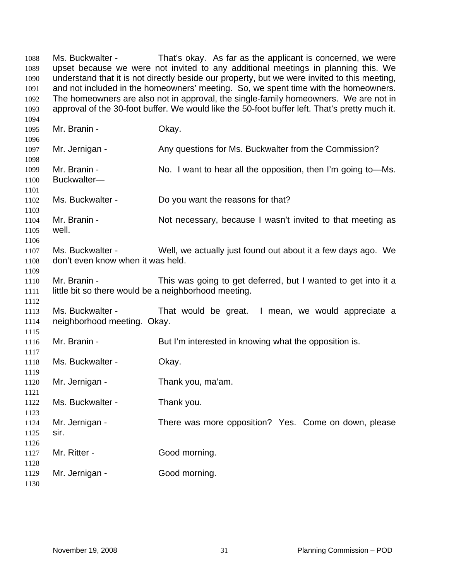Ms. Buckwalter - That's okay. As far as the applicant is concerned, we were upset because we were not invited to any additional meetings in planning this. We understand that it is not directly beside our property, but we were invited to this meeting, and not included in the homeowners' meeting. So, we spent time with the homeowners. The homeowners are also not in approval, the single-family homeowners. We are not in approval of the 30-foot buffer. We would like the 50-foot buffer left. That's pretty much it. Mr. Branin - Ckay. Mr. Jernigan - Any questions for Ms. Buckwalter from the Commission? Mr. Branin - No. I want to hear all the opposition, then I'm going to-Ms. Buckwalter— Ms. Buckwalter - Do you want the reasons for that? Mr. Branin - Not necessary, because I wasn't invited to that meeting as well. Ms. Buckwalter - Well, we actually just found out about it a few days ago. We don't even know when it was held. Mr. Branin - This was going to get deferred, but I wanted to get into it a little bit so there would be a neighborhood meeting. Ms. Buckwalter - That would be great. I mean, we would appreciate a neighborhood meeting. Okay. Mr. Branin - But I'm interested in knowing what the opposition is. Ms. Buckwalter - Okay. Mr. Jernigan - Thank you, ma'am. Ms. Buckwalter - Thank you. Mr. Jernigan - There was more opposition? Yes. Come on down, please sir. Mr. Ritter - Good morning. Mr. Jernigan - Good morning.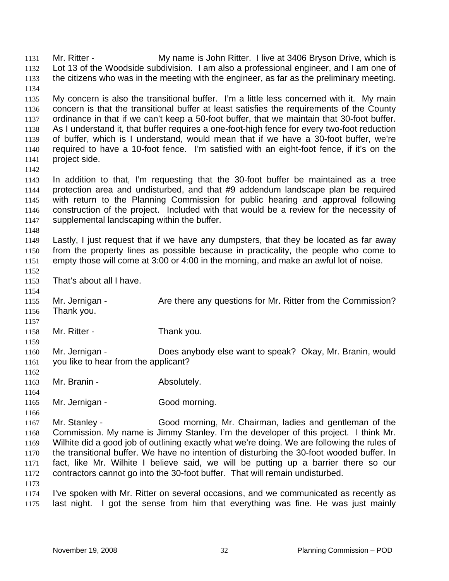Mr. Ritter - My name is John Ritter. I live at 3406 Bryson Drive, which is Lot 13 of the Woodside subdivision. I am also a professional engineer, and I am one of the citizens who was in the meeting with the engineer, as far as the preliminary meeting. 1131 1132 1133 1134 1135 1136 1137 1138 1139 1140 1141 1142 1143 1144 1145 1146 1147 1148 1149 1150 1151 1152 1153 1154 1155 1156 1157 1158 1159 1160 1161 1162 1163 1164 1165 1166 1167 1168 1169 1170 1171 1172 1173 1174 1175 My concern is also the transitional buffer. I'm a little less concerned with it. My main concern is that the transitional buffer at least satisfies the requirements of the County ordinance in that if we can't keep a 50-foot buffer, that we maintain that 30-foot buffer. As I understand it, that buffer requires a one-foot-high fence for every two-foot reduction of buffer, which is I understand, would mean that if we have a 30-foot buffer, we're required to have a 10-foot fence. I'm satisfied with an eight-foot fence, if it's on the project side. In addition to that, I'm requesting that the 30-foot buffer be maintained as a tree protection area and undisturbed, and that #9 addendum landscape plan be required with return to the Planning Commission for public hearing and approval following construction of the project. Included with that would be a review for the necessity of supplemental landscaping within the buffer. Lastly, I just request that if we have any dumpsters, that they be located as far away from the property lines as possible because in practicality, the people who come to empty those will come at 3:00 or 4:00 in the morning, and make an awful lot of noise. That's about all I have. Mr. Jernigan - The Are there any questions for Mr. Ritter from the Commission? Thank you. Mr. Ritter - Thank you. Mr. Jernigan - Does anybody else want to speak? Okay, Mr. Branin, would you like to hear from the applicant? Mr. Branin - The Absolutely. Mr. Jernigan - Good morning. Mr. Stanley - Good morning, Mr. Chairman, ladies and gentleman of the Commission. My name is Jimmy Stanley. I'm the developer of this project. I think Mr. Wilhite did a good job of outlining exactly what we're doing. We are following the rules of the transitional buffer. We have no intention of disturbing the 30-foot wooded buffer. In fact, like Mr. Wilhite I believe said, we will be putting up a barrier there so our contractors cannot go into the 30-foot buffer. That will remain undisturbed. I've spoken with Mr. Ritter on several occasions, and we communicated as recently as last night. I got the sense from him that everything was fine. He was just mainly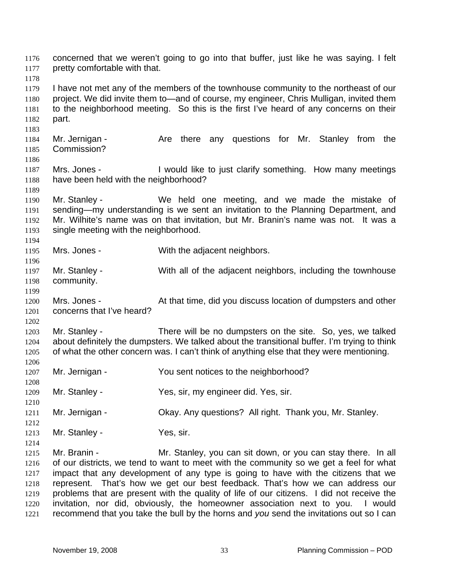concerned that we weren't going to go into that buffer, just like he was saying. I felt pretty comfortable with that. 1176 1177 1178 1179 1180 1181 1182 1183 1184 1185 1186 1187 1188 1189 1190 1191 1192 1193 1194 1195 1196 1197 1198 1199 1200 1201 1202 1203 1204 1205 1206 1207 1208 1209 1210 1211 1212 1213 1214 1215 1216 1217 1218 1219 1220 1221 I have not met any of the members of the townhouse community to the northeast of our project. We did invite them to—and of course, my engineer, Chris Mulligan, invited them to the neighborhood meeting. So this is the first I've heard of any concerns on their part. Mr. Jernigan - The Are there any questions for Mr. Stanley from the Commission? Mrs. Jones - I would like to just clarify something. How many meetings have been held with the neighborhood? Mr. Stanley - We held one meeting, and we made the mistake of sending—my understanding is we sent an invitation to the Planning Department, and Mr. Wilhite's name was on that invitation, but Mr. Branin's name was not. It was a single meeting with the neighborhood. Mrs. Jones - With the adjacent neighbors. Mr. Stanley - With all of the adjacent neighbors, including the townhouse community. Mrs. Jones - At that time, did you discuss location of dumpsters and other concerns that I've heard? Mr. Stanley - There will be no dumpsters on the site. So, yes, we talked about definitely the dumpsters. We talked about the transitional buffer. I'm trying to think of what the other concern was. I can't think of anything else that they were mentioning. Mr. Jernigan - You sent notices to the neighborhood? Mr. Stanley - Yes, sir, my engineer did. Yes, sir. Mr. Jernigan - Ckay. Any questions? All right. Thank you, Mr. Stanley. Mr. Stanley - Yes, sir. Mr. Branin - The Mr. Stanley, you can sit down, or you can stay there. In all of our districts, we tend to want to meet with the community so we get a feel for what impact that any development of any type is going to have with the citizens that we represent. That's how we get our best feedback. That's how we can address our problems that are present with the quality of life of our citizens. I did not receive the invitation, nor did, obviously, the homeowner association next to you. I would recommend that you take the bull by the horns and *you* send the invitations out so I can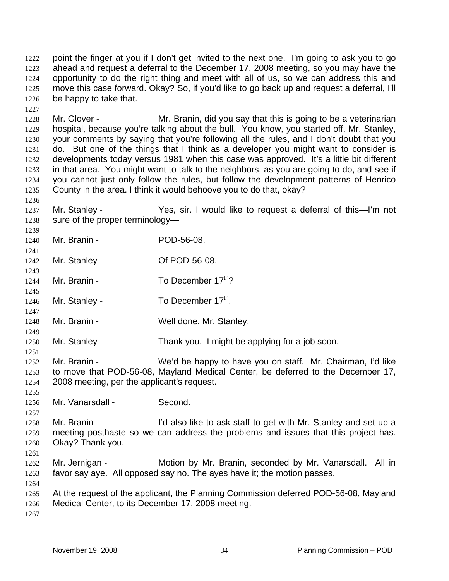point the finger at you if I don't get invited to the next one. I'm going to ask you to go ahead and request a deferral to the December 17, 2008 meeting, so you may have the opportunity to do the right thing and meet with all of us, so we can address this and move this case forward. Okay? So, if you'd like to go back up and request a deferral, I'll be happy to take that. 1222 1223 1224 1225 1226

1228 1229 1230 1231 1232 1233 1234 1235 Mr. Glover - Mr. Branin, did you say that this is going to be a veterinarian hospital, because you're talking about the bull. You know, you started off, Mr. Stanley, your comments by saying that you're following all the rules, and I don't doubt that you do. But one of the things that I think as a developer you might want to consider is developments today versus 1981 when this case was approved. It's a little bit different in that area. You might want to talk to the neighbors, as you are going to do, and see if you cannot just only follow the rules, but follow the development patterns of Henrico County in the area. I think it would behoove you to do that, okay?

- 1237 1238 Mr. Stanley - Yes, sir. I would like to request a deferral of this—I'm not sure of the proper terminology—
- 1240 Mr. Branin - POD-56-08.
- 1242 1243 Mr. Stanley - Compact Compact Compact Compact Compact Compact Of POD-56-08.
- 1244 Mr. Branin -  $\blacksquare$  To December 17<sup>th</sup>?
- 1246 Mr. Stanley - To December  $17<sup>th</sup>$ .
- 1247 1248 Mr. Branin - Well done, Mr. Stanley.
- 1250 Mr. Stanley - Thank you. I might be applying for a job soon.
- 1252 1253 1254 Mr. Branin - We'd be happy to have you on staff. Mr. Chairman, I'd like to move that POD-56-08, Mayland Medical Center, be deferred to the December 17, 2008 meeting, per the applicant's request.
- 1256 Mr. Vanarsdall - Second.
- 1258 1259 1260 Mr. Branin - I'd also like to ask staff to get with Mr. Stanley and set up a meeting posthaste so we can address the problems and issues that this project has. Okay? Thank you.
- 1262 1263 Mr. Jernigan - Motion by Mr. Branin, seconded by Mr. Vanarsdall. All in favor say aye. All opposed say no. The ayes have it; the motion passes.
- 1264 1265 1266 At the request of the applicant, the Planning Commission deferred POD-56-08, Mayland Medical Center, to its December 17, 2008 meeting.
- 1267

1227

1236

1239

1241

1245

1249

1251

1255

1257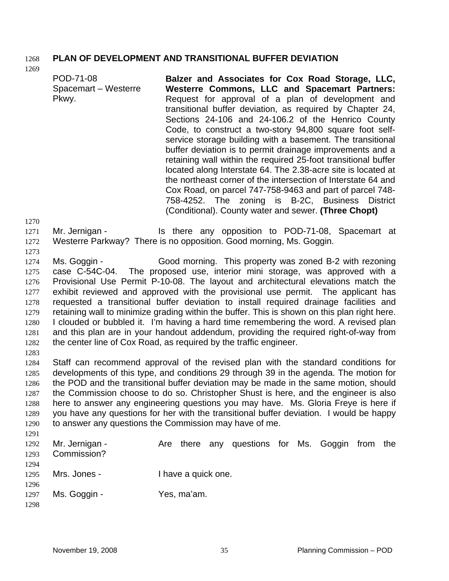## 1268 **PLAN OF DEVELOPMENT AND TRANSITIONAL BUFFER DEVIATION**

1269

POD-71-08 Spacemart – Westerre Pkwy. **Balzer and Associates for Cox Road Storage, LLC, Westerre Commons, LLC and Spacemart Partners:**  Request for approval of a plan of development and transitional buffer deviation, as required by Chapter 24, Sections 24-106 and 24-106.2 of the Henrico County Code, to construct a two-story 94,800 square foot selfservice storage building with a basement. The transitional buffer deviation is to permit drainage improvements and a retaining wall within the required 25-foot transitional buffer located along Interstate 64. The 2.38-acre site is located at the northeast corner of the intersection of Interstate 64 and Cox Road, on parcel 747-758-9463 and part of parcel 748- 758-4252. The zoning is B-2C, Business District (Conditional). County water and sewer. **(Three Chopt)**  Mr. Jernigan - The Is there any opposition to POD-71-08, Spacemart at Westerre Parkway? There is no opposition. Good morning, Ms. Goggin. Ms. Goggin - Good morning. This property was zoned B-2 with rezoning case C-54C-04. The proposed use, interior mini storage, was approved with a Provisional Use Permit P-10-08. The layout and architectural elevations match the exhibit reviewed and approved with the provisional use permit. The applicant has requested a transitional buffer deviation to install required drainage facilities and retaining wall to minimize grading within the buffer. This is shown on this plan right here. I clouded or bubbled it. I'm having a hard time remembering the word. A revised plan and this plan are in your handout addendum, providing the required right-of-way from the center line of Cox Road, as required by the traffic engineer.

1282 1283

1284 1285 1286 1287 1288 1289 1290 1291 Staff can recommend approval of the revised plan with the standard conditions for developments of this type, and conditions 29 through 39 in the agenda. The motion for the POD and the transitional buffer deviation may be made in the same motion, should the Commission choose to do so. Christopher Shust is here, and the engineer is also here to answer any engineering questions you may have. Ms. Gloria Freye is here if you have any questions for her with the transitional buffer deviation. I would be happy to answer any questions the Commission may have of me.

| 1292<br>1293 | Mr. Jernigan -<br>Commission? |                     | Are there any questions for Ms. Goggin from |  |  | the |
|--------------|-------------------------------|---------------------|---------------------------------------------|--|--|-----|
| 1294         |                               |                     |                                             |  |  |     |
| 1295         | Mrs. Jones -                  | I have a quick one. |                                             |  |  |     |
| 1296         |                               |                     |                                             |  |  |     |
| 1297         | Ms. Goggin -                  | Yes, ma'am.         |                                             |  |  |     |
| 1298         |                               |                     |                                             |  |  |     |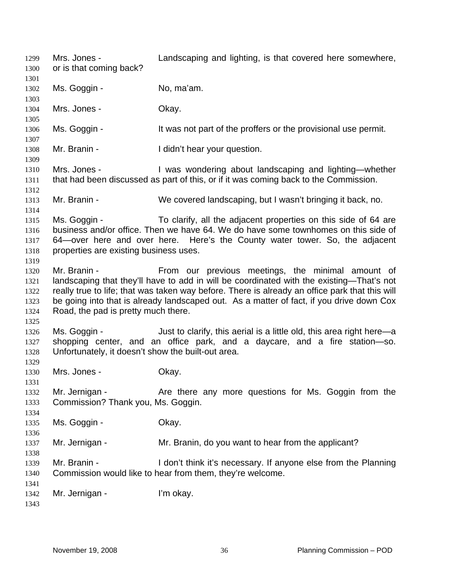Mrs. Jones - Landscaping and lighting, is that covered here somewhere, or is that coming back? 1299 1300 1301 1302 1303 1304 1305 1306 1307 1308 1309 1310 1311 1312 1313 1314 1315 1316 1317 1318 1319 1320 1321 1322 1323 1324 1325 1326 1327 1328 1329 1330 1331 1332 1333 1334 1335 1336 1337 1338 1339 1340 1341 1342 1343 Ms. Goggin - No, ma'am. Mrs. Jones - Ckay. Ms. Goggin - It was not part of the proffers or the provisional use permit. Mr. Branin - The I didn't hear your question. Mrs. Jones - I was wondering about landscaping and lighting—whether that had been discussed as part of this, or if it was coming back to the Commission. Mr. Branin - We covered landscaping, but I wasn't bringing it back, no. Ms. Goggin - To clarify, all the adjacent properties on this side of 64 are business and/or office. Then we have 64. We do have some townhomes on this side of 64—over here and over here. Here's the County water tower. So, the adjacent properties are existing business uses. Mr. Branin - The From our previous meetings, the minimal amount of landscaping that they'll have to add in will be coordinated with the existing—That's not really true to life; that was taken way before. There is already an office park that this will be going into that is already landscaped out. As a matter of fact, if you drive down Cox Road, the pad is pretty much there. Ms. Goggin - Just to clarify, this aerial is a little old, this area right here—a shopping center, and an office park, and a daycare, and a fire station—so. Unfortunately, it doesn't show the built-out area. Mrs. Jones - Chay. Mr. Jernigan - The Are there any more questions for Ms. Goggin from the Commission? Thank you, Ms. Goggin. Ms. Goggin - Chay. Mr. Jernigan - Mr. Branin, do you want to hear from the applicant? Mr. Branin - I don't think it's necessary. If anyone else from the Planning Commission would like to hear from them, they're welcome. Mr. Jernigan - I'm okay.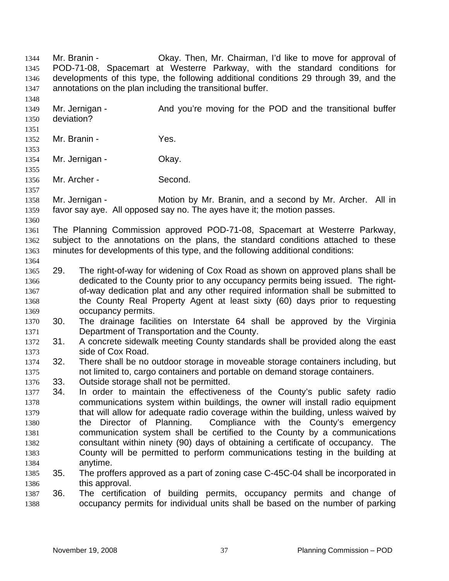Mr. Branin - Ckay. Then, Mr. Chairman, I'd like to move for approval of POD-71-08, Spacemart at Westerre Parkway, with the standard conditions for developments of this type, the following additional conditions 29 through 39, and the annotations on the plan including the transitional buffer. 1344 1345 1346 1347 1348 1349 1350 1351 1352 1353 1354 1355 1356 1357 1358 1359 1360 1361 1362 1363 1364 1365 1366 1367 1368 1369 1370 1371 1372 1373 1374 1375 1376 1377 1378 1379 1380 1381 1382 1383 1384 1385 1386 1387 1388 Mr. Jernigan - And you're moving for the POD and the transitional buffer deviation? Mr. Branin - Yes. Mr. Jernigan - **Okay.** Mr. Archer - Second. Mr. Jernigan - Motion by Mr. Branin, and a second by Mr. Archer. All in favor say aye. All opposed say no. The ayes have it; the motion passes. The Planning Commission approved POD-71-08, Spacemart at Westerre Parkway, subject to the annotations on the plans, the standard conditions attached to these minutes for developments of this type, and the following additional conditions: 29. The right-of-way for widening of Cox Road as shown on approved plans shall be dedicated to the County prior to any occupancy permits being issued. The rightof-way dedication plat and any other required information shall be submitted to the County Real Property Agent at least sixty (60) days prior to requesting occupancy permits. 30. The drainage facilities on Interstate 64 shall be approved by the Virginia Department of Transportation and the County. 31. A concrete sidewalk meeting County standards shall be provided along the east side of Cox Road. 32. There shall be no outdoor storage in moveable storage containers including, but not limited to, cargo containers and portable on demand storage containers. 33. Outside storage shall not be permitted. 34. In order to maintain the effectiveness of the County's public safety radio communications system within buildings, the owner will install radio equipment that will allow for adequate radio coverage within the building, unless waived by the Director of Planning. Compliance with the County's emergency communication system shall be certified to the County by a communications consultant within ninety (90) days of obtaining a certificate of occupancy. The County will be permitted to perform communications testing in the building at anytime. 35. The proffers approved as a part of zoning case C-45C-04 shall be incorporated in this approval. 36. The certification of building permits, occupancy permits and change of occupancy permits for individual units shall be based on the number of parking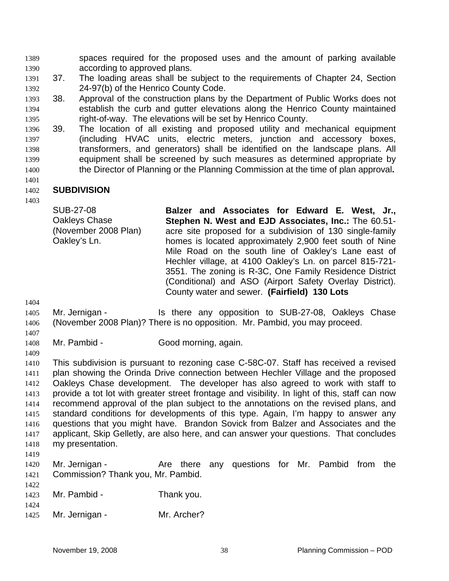spaces required for the proposed uses and the amount of parking available according to approved plans. 1389 1390

- 1391 1392 37. The loading areas shall be subject to the requirements of Chapter 24, Section 24-97(b) of the Henrico County Code.
- 1393 1394 1395 38. Approval of the construction plans by the Department of Public Works does not establish the curb and gutter elevations along the Henrico County maintained right-of-way. The elevations will be set by Henrico County.
- 1396 1397 1398 1399 1400 39. The location of all existing and proposed utility and mechanical equipment (including HVAC units, electric meters, junction and accessory boxes, transformers, and generators) shall be identified on the landscape plans. All equipment shall be screened by such measures as determined appropriate by the Director of Planning or the Planning Commission at the time of plan approval**.**

#### 1402 **SUBDIVISION**

1403

1401

SUB-27-08 Oakleys Chase (November 2008 Plan) Oakley's Ln. **Balzer and Associates for Edward E. West, Jr., Stephen N. West and EJD Associates, Inc.:** The 60.51 acre site proposed for a subdivision of 130 single-family homes is located approximately 2,900 feet south of Nine Mile Road on the south line of Oakley's Lane east of Hechler village, at 4100 Oakley's Ln. on parcel 815-721- 3551. The zoning is R-3C, One Family Residence District (Conditional) and ASO (Airport Safety Overlay District). County water and sewer. **(Fairfield) 130 Lots** 

1404

1405 1406 Mr. Jernigan - Is there any opposition to SUB-27-08, Oakleys Chase (November 2008 Plan)? There is no opposition. Mr. Pambid, you may proceed.

- 1407 1408
- Mr. Pambid Good morning, again.
- 1409

1410 1411 1412 1413 1414 1415 1416 1417 1418 This subdivision is pursuant to rezoning case C-58C-07. Staff has received a revised plan showing the Orinda Drive connection between Hechler Village and the proposed Oakleys Chase development. The developer has also agreed to work with staff to provide a tot lot with greater street frontage and visibility. In light of this, staff can now recommend approval of the plan subject to the annotations on the revised plans, and standard conditions for developments of this type. Again, I'm happy to answer any questions that you might have. Brandon Sovick from Balzer and Associates and the applicant, Skip Gelletly, are also here, and can answer your questions. That concludes my presentation.

1419

- 1420 1421 Mr. Jernigan - The Are there any questions for Mr. Pambid from the Commission? Thank you, Mr. Pambid.
- 1423 Mr. Pambid - Thank you.
- 1424

<sup>1425</sup>  Mr. Jernigan - Mr. Archer?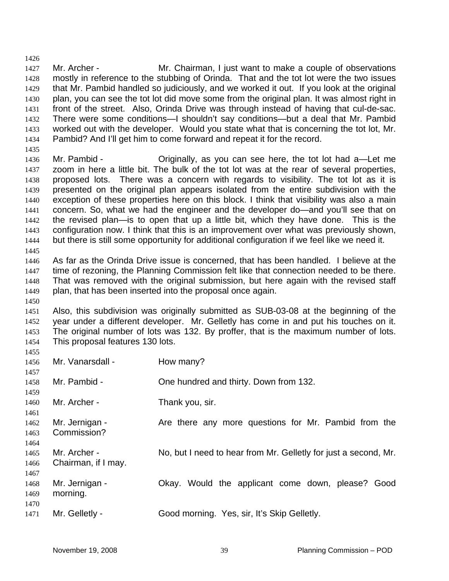1426 1427 1428 1429 1430 1431 1432 1433 1434 Mr. Archer - **Mr. Chairman, I just want to make a couple of observations** mostly in reference to the stubbing of Orinda. That and the tot lot were the two issues that Mr. Pambid handled so judiciously, and we worked it out. If you look at the original plan, you can see the tot lot did move some from the original plan. It was almost right in front of the street. Also, Orinda Drive was through instead of having that cul-de-sac. There were some conditions—I shouldn't say conditions—but a deal that Mr. Pambid worked out with the developer. Would you state what that is concerning the tot lot, Mr. Pambid? And I'll get him to come forward and repeat it for the record.

1435

1450

1436 1437 1438 1439 1440 1441 1442 1443 1444 1445 Mr. Pambid - Originally, as you can see here, the tot lot had a—Let me zoom in here a little bit. The bulk of the tot lot was at the rear of several properties, proposed lots. There was a concern with regards to visibility. The tot lot as it is presented on the original plan appears isolated from the entire subdivision with the exception of these properties here on this block. I think that visibility was also a main concern. So, what we had the engineer and the developer do—and you'll see that on the revised plan—is to open that up a little bit, which they have done. This is the configuration now. I think that this is an improvement over what was previously shown, but there is still some opportunity for additional configuration if we feel like we need it.

1446 1447 1448 1449 As far as the Orinda Drive issue is concerned, that has been handled. I believe at the time of rezoning, the Planning Commission felt like that connection needed to be there. That was removed with the original submission, but here again with the revised staff plan, that has been inserted into the proposal once again.

1451 1452 1453 1454 Also, this subdivision was originally submitted as SUB-03-08 at the beginning of the year under a different developer. Mr. Gelletly has come in and put his touches on it. The original number of lots was 132. By proffer, that is the maximum number of lots. This proposal features 130 lots.

| 1455 |                     |                                                                 |
|------|---------------------|-----------------------------------------------------------------|
| 1456 | Mr. Vanarsdall -    | How many?                                                       |
| 1457 |                     |                                                                 |
| 1458 | Mr. Pambid -        | One hundred and thirty. Down from 132.                          |
| 1459 |                     |                                                                 |
| 1460 | Mr. Archer -        | Thank you, sir.                                                 |
| 1461 |                     |                                                                 |
| 1462 | Mr. Jernigan -      | Are there any more questions for Mr. Pambid from the            |
| 1463 | Commission?         |                                                                 |
| 1464 |                     |                                                                 |
| 1465 | Mr. Archer -        | No, but I need to hear from Mr. Gelletly for just a second, Mr. |
| 1466 | Chairman, if I may. |                                                                 |
| 1467 |                     |                                                                 |
| 1468 | Mr. Jernigan -      | Okay. Would the applicant come down, please? Good               |
| 1469 | morning.            |                                                                 |
| 1470 |                     |                                                                 |
| 1471 | Mr. Gelletly -      | Good morning. Yes, sir, It's Skip Gelletly.                     |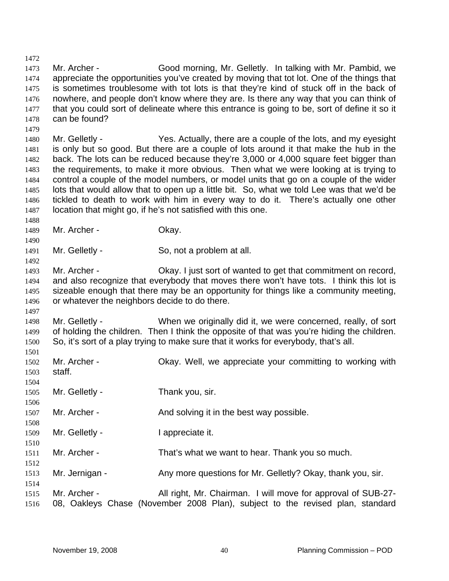1472 1473 1474 1475 1476 1477 1478 1479 Mr. Archer - Good morning, Mr. Gelletly. In talking with Mr. Pambid, we appreciate the opportunities you've created by moving that tot lot. One of the things that is sometimes troublesome with tot lots is that they're kind of stuck off in the back of nowhere, and people don't know where they are. Is there any way that you can think of that you could sort of delineate where this entrance is going to be, sort of define it so it can be found?

1480 1481 1482 1483 1484 1485 1486 1487 Mr. Gelletly - Yes. Actually, there are a couple of the lots, and my eyesight is only but so good. But there are a couple of lots around it that make the hub in the back. The lots can be reduced because they're 3,000 or 4,000 square feet bigger than the requirements, to make it more obvious. Then what we were looking at is trying to control a couple of the model numbers, or model units that go on a couple of the wider lots that would allow that to open up a little bit. So, what we told Lee was that we'd be tickled to death to work with him in every way to do it. There's actually one other location that might go, if he's not satisfied with this one.

1488 1489 Mr. Archer - Chay.

1490

1492

- 1491 Mr. Gelletly - So, not a problem at all.
- 1493 1494 1495 1496 Mr. Archer - Chay. I just sort of wanted to get that commitment on record, and also recognize that everybody that moves there won't have tots. I think this lot is sizeable enough that there may be an opportunity for things like a community meeting, or whatever the neighbors decide to do there.
- 1498 1499 1500 Mr. Gelletly - When we originally did it, we were concerned, really, of sort of holding the children. Then I think the opposite of that was you're hiding the children. So, it's sort of a play trying to make sure that it works for everybody, that's all.

| 1501<br>1502<br>1503 | Mr. Archer -<br>staff. | Okay. Well, we appreciate your committing to working with                                                                                     |
|----------------------|------------------------|-----------------------------------------------------------------------------------------------------------------------------------------------|
| 1504<br>1505<br>1506 | Mr. Gelletly -         | Thank you, sir.                                                                                                                               |
| 1507<br>1508         | Mr. Archer -           | And solving it in the best way possible.                                                                                                      |
| 1509<br>1510         | Mr. Gelletly -         | I appreciate it.                                                                                                                              |
| 1511<br>1512         | Mr. Archer -           | That's what we want to hear. Thank you so much.                                                                                               |
| 1513<br>1514         | Mr. Jernigan -         | Any more questions for Mr. Gelletly? Okay, thank you, sir.                                                                                    |
| 1515<br>1516         | Mr. Archer -           | All right, Mr. Chairman. I will move for approval of SUB-27-<br>08, Oakleys Chase (November 2008 Plan), subject to the revised plan, standard |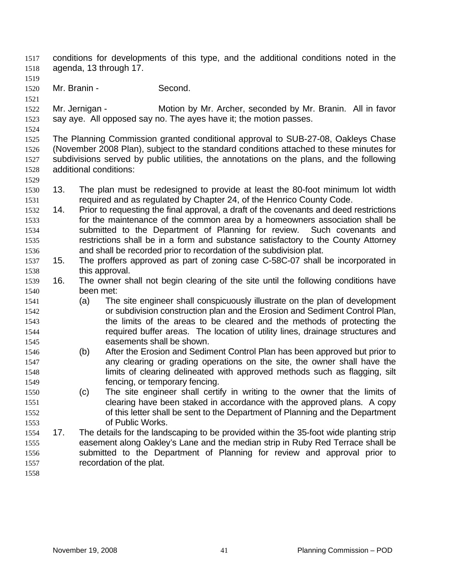conditions for developments of this type, and the additional conditions noted in the agenda, 13 through 17. 1517 1518

1519

1521

1520 Mr. Branin - Second.

1522 1523 Mr. Jernigan - **Motion by Mr. Archer, seconded by Mr. Branin.** All in favor say aye. All opposed say no. The ayes have it; the motion passes.

1524

1529

1525 1526 1527 1528 The Planning Commission granted conditional approval to SUB-27-08, Oakleys Chase (November 2008 Plan), subject to the standard conditions attached to these minutes for subdivisions served by public utilities, the annotations on the plans, and the following additional conditions:

- 1530 1531 13. The plan must be redesigned to provide at least the 80-foot minimum lot width required and as regulated by Chapter 24, of the Henrico County Code.
- 1532 1533 1534 1535 1536 14. Prior to requesting the final approval, a draft of the covenants and deed restrictions for the maintenance of the common area by a homeowners association shall be submitted to the Department of Planning for review. Such covenants and restrictions shall be in a form and substance satisfactory to the County Attorney and shall be recorded prior to recordation of the subdivision plat.
- 1537 1538 15. The proffers approved as part of zoning case C-58C-07 shall be incorporated in this approval.
- 1539 1540 16. The owner shall not begin clearing of the site until the following conditions have been met:
- 1541 1542 1543 1544 1545 (a) The site engineer shall conspicuously illustrate on the plan of development or subdivision construction plan and the Erosion and Sediment Control Plan, the limits of the areas to be cleared and the methods of protecting the required buffer areas. The location of utility lines, drainage structures and easements shall be shown.
- 1546 1547 1548 1549 (b) After the Erosion and Sediment Control Plan has been approved but prior to any clearing or grading operations on the site, the owner shall have the limits of clearing delineated with approved methods such as flagging, silt fencing, or temporary fencing.
- 1550 1551 1552 1553 (c) The site engineer shall certify in writing to the owner that the limits of clearing have been staked in accordance with the approved plans. A copy of this letter shall be sent to the Department of Planning and the Department of Public Works.
- 1554 1555 1556 1557 17. The details for the landscaping to be provided within the 35-foot wide planting strip easement along Oakley's Lane and the median strip in Ruby Red Terrace shall be submitted to the Department of Planning for review and approval prior to recordation of the plat.
- 1558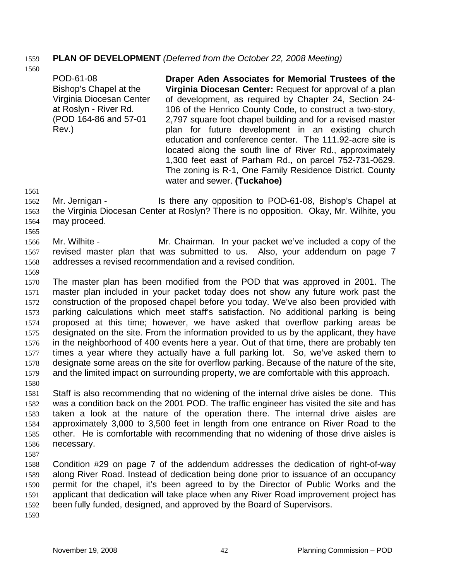## 1559 **PLAN OF DEVELOPMENT** *(Deferred from the October 22, 2008 Meeting)*

1560

POD-61-08 Bishop's Chapel at the Virginia Diocesan Center at Roslyn - River Rd. (POD 164-86 and 57-01 Rev.) **Draper Aden Associates for Memorial Trustees of the Virginia Diocesan Center:** Request for approval of a plan of development, as required by Chapter 24, Section 24- 106 of the Henrico County Code, to construct a two-story, 2,797 square foot chapel building and for a revised master plan for future development in an existing church education and conference center. The 111.92-acre site is located along the south line of River Rd., approximately 1,300 feet east of Parham Rd., on parcel 752-731-0629. The zoning is R-1, One Family Residence District. County water and sewer. **(Tuckahoe)** 

1561 1562 1563 1564 Mr. Jernigan - Is there any opposition to POD-61-08, Bishop's Chapel at the Virginia Diocesan Center at Roslyn? There is no opposition. Okay, Mr. Wilhite, you may proceed.

1565

1566 1567 1568 Mr. Wilhite - **Mr.** Chairman. In your packet we've included a copy of the revised master plan that was submitted to us. Also, your addendum on page 7 addresses a revised recommendation and a revised condition.

1569

1570 1571 1572 1573 1574 1575 1576 1577 1578 1579 1580 The master plan has been modified from the POD that was approved in 2001. The master plan included in your packet today does not show any future work past the construction of the proposed chapel before you today. We've also been provided with parking calculations which meet staff's satisfaction. No additional parking is being proposed at this time; however, we have asked that overflow parking areas be designated on the site. From the information provided to us by the applicant, they have in the neighborhood of 400 events here a year. Out of that time, there are probably ten times a year where they actually have a full parking lot. So, we've asked them to designate some areas on the site for overflow parking. Because of the nature of the site, and the limited impact on surrounding property, we are comfortable with this approach.

1581 1582 1583 1584 1585 1586 Staff is also recommending that no widening of the internal drive aisles be done. This was a condition back on the 2001 POD. The traffic engineer has visited the site and has taken a look at the nature of the operation there. The internal drive aisles are approximately 3,000 to 3,500 feet in length from one entrance on River Road to the other. He is comfortable with recommending that no widening of those drive aisles is necessary.

1587

1588 1589 1590 1591 1592 Condition #29 on page 7 of the addendum addresses the dedication of right-of-way along River Road. Instead of dedication being done prior to issuance of an occupancy permit for the chapel, it's been agreed to by the Director of Public Works and the applicant that dedication will take place when any River Road improvement project has been fully funded, designed, and approved by the Board of Supervisors.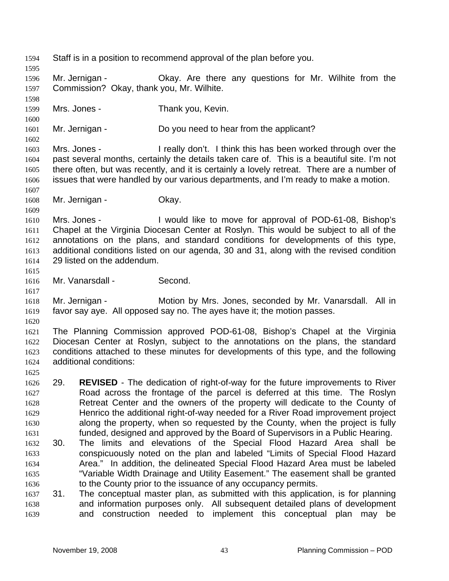1594 Staff is in a position to recommend approval of the plan before you. 1595 1596 1597 1598 1599 1600 1601 1602 1603 1604 1605 1606 1607 1608 1609 1610 1611 1612 1613 1614 1615 1616 1617 1618 1619 1620 1621 1622 1623 1624 1625 1627 1628 1629 1630 1631 1632 1633 1634 1635 1636 1637 Mr. Jernigan - Ckay. Are there any questions for Mr. Wilhite from the Commission? Okay, thank you, Mr. Wilhite. Mrs. Jones - Thank you, Kevin. Mr. Jernigan - Do you need to hear from the applicant? Mrs. Jones - I really don't. I think this has been worked through over the past several months, certainly the details taken care of. This is a beautiful site. I'm not there often, but was recently, and it is certainly a lovely retreat. There are a number of issues that were handled by our various departments, and I'm ready to make a motion. Mr. Jernigan - **Okay.** Mrs. Jones - I would like to move for approval of POD-61-08, Bishop's Chapel at the Virginia Diocesan Center at Roslyn. This would be subject to all of the annotations on the plans, and standard conditions for developments of this type, additional conditions listed on our agenda, 30 and 31, along with the revised condition 29 listed on the addendum. Mr. Vanarsdall - Second. Mr. Jernigan - **Motion by Mrs. Jones, seconded by Mr. Vanarsdall.** All in favor say aye. All opposed say no. The ayes have it; the motion passes. The Planning Commission approved POD-61-08, Bishop's Chapel at the Virginia Diocesan Center at Roslyn, subject to the annotations on the plans, the standard conditions attached to these minutes for developments of this type, and the following additional conditions: 1626 29. **REVISED** - The dedication of right-of-way for the future improvements to River Road across the frontage of the parcel is deferred at this time. The Roslyn Retreat Center and the owners of the property will dedicate to the County of Henrico the additional right-of-way needed for a River Road improvement project along the property, when so requested by the County, when the project is fully funded, designed and approved by the Board of Supervisors in a Public Hearing. 30. The limits and elevations of the Special Flood Hazard Area shall be conspicuously noted on the plan and labeled "Limits of Special Flood Hazard Area." In addition, the delineated Special Flood Hazard Area must be labeled "Variable Width Drainage and Utility Easement." The easement shall be granted to the County prior to the issuance of any occupancy permits. 31. The conceptual master plan, as submitted with this application, is for planning

1638 1639 and information purposes only. All subsequent detailed plans of development and construction needed to implement this conceptual plan may be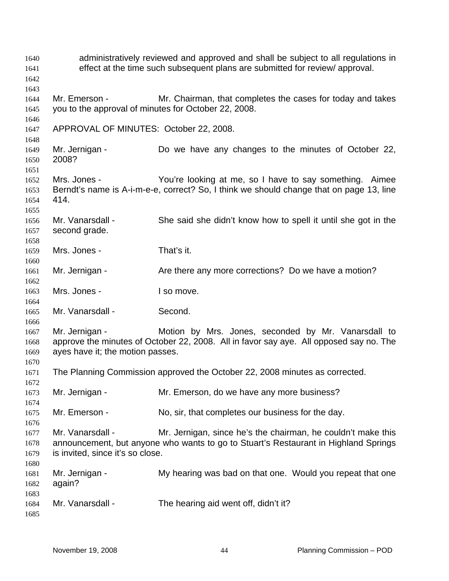administratively reviewed and approved and shall be subject to all regulations in effect at the time such subsequent plans are submitted for review/ approval. Mr. Emerson - Mr. Chairman, that completes the cases for today and takes you to the approval of minutes for October 22, 2008. APPROVAL OF MINUTES: October 22, 2008. Mr. Jernigan - Do we have any changes to the minutes of October 22, 2008? Mrs. Jones - You're looking at me, so I have to say something. Aimee Berndt's name is A-i-m-e-e, correct? So, I think we should change that on page 13, line 414. Mr. Vanarsdall - She said she didn't know how to spell it until she got in the second grade. Mrs. Jones - That's it. Mr. Jernigan - Are there any more corrections? Do we have a motion? Mrs. Jones - I so move. Mr. Vanarsdall - Second. Mr. Jernigan - The Motion by Mrs. Jones, seconded by Mr. Vanarsdall to approve the minutes of October 22, 2008. All in favor say aye. All opposed say no. The ayes have it; the motion passes. The Planning Commission approved the October 22, 2008 minutes as corrected. Mr. Jernigan - The Mr. Emerson, do we have any more business? Mr. Emerson - No, sir, that completes our business for the day. Mr. Vanarsdall - Mr. Jernigan, since he's the chairman, he couldn't make this announcement, but anyone who wants to go to Stuart's Restaurant in Highland Springs is invited, since it's so close. Mr. Jernigan - My hearing was bad on that one. Would you repeat that one again? Mr. Vanarsdall - The hearing aid went off, didn't it?